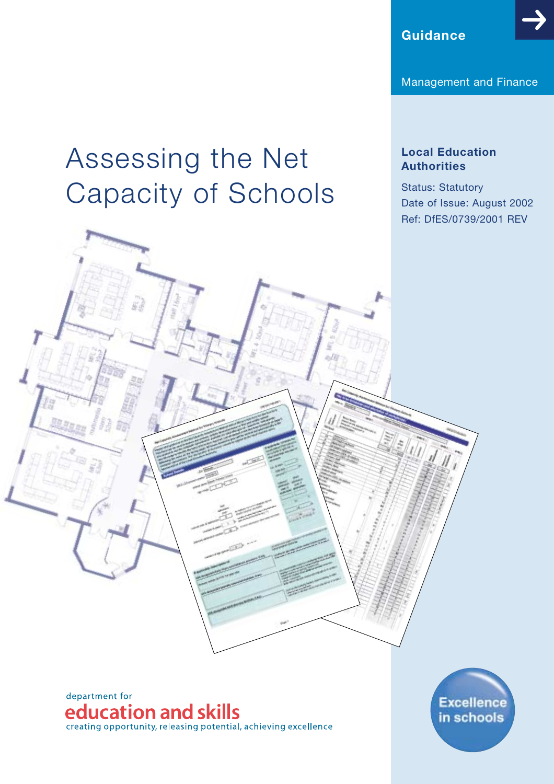**Guidance**

Management and Finance

# Assessing the Net Capacity of Schools

# **Local Education Authorities**

Status: Statutory Date of Issue: August 2002 Ref: DfES/0739/2001 REV



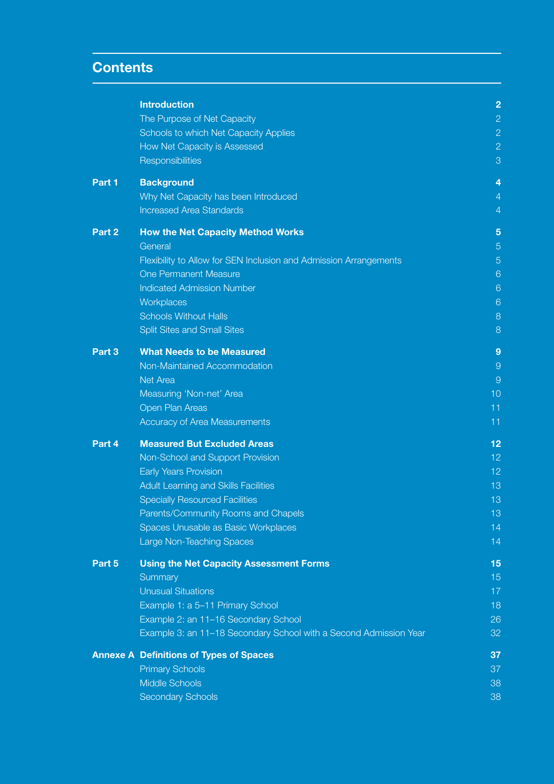# **Contents**

|        | <b>Introduction</b>                                               | $\overline{2}$ |
|--------|-------------------------------------------------------------------|----------------|
|        | The Purpose of Net Capacity                                       | $\overline{c}$ |
|        | Schools to which Net Capacity Applies                             | $\overline{c}$ |
|        | How Net Capacity is Assessed                                      | $\overline{c}$ |
|        | Responsibilities                                                  | 3              |
| Part 1 | <b>Background</b>                                                 | 4              |
|        | Why Net Capacity has been Introduced                              | 4              |
|        | <b>Increased Area Standards</b>                                   | $\overline{4}$ |
| Part 2 | <b>How the Net Capacity Method Works</b>                          | 5              |
|        | General                                                           | 5              |
|        | Flexibility to Allow for SEN Inclusion and Admission Arrangements | $\overline{5}$ |
|        | <b>One Permanent Measure</b>                                      | 6              |
|        | <b>Indicated Admission Number</b>                                 | 6              |
|        | Workplaces                                                        | 6              |
|        | <b>Schools Without Halls</b>                                      | 8              |
|        | <b>Split Sites and Small Sites</b>                                | 8              |
| Part 3 | <b>What Needs to be Measured</b>                                  | 9              |
|        | Non-Maintained Accommodation                                      | $\Theta$       |
|        | Net Area                                                          | $\overline{9}$ |
|        | Measuring 'Non-net' Area                                          | 10             |
|        | Open Plan Areas                                                   | 11             |
|        | Accuracy of Area Measurements                                     | 11             |
| Part 4 | <b>Measured But Excluded Areas</b>                                | 12             |
|        | Non-School and Support Provision                                  | 12             |
|        | <b>Early Years Provision</b>                                      | 12             |
|        | Adult Learning and Skills Facilities                              | 13             |
|        | <b>Specially Resourced Facilities</b>                             | 13             |
|        | Parents/Community Rooms and Chapels                               | 13             |
|        | Spaces Unusable as Basic Workplaces                               | 14             |
|        | Large Non-Teaching Spaces                                         | 14             |
| Part 5 | <b>Using the Net Capacity Assessment Forms</b>                    | 15             |
|        | Summary                                                           | 15             |
|        | <b>Unusual Situations</b>                                         | 17             |
|        | Example 1: a 5-11 Primary School                                  | 18             |
|        | Example 2: an 11-16 Secondary School                              | 26             |
|        | Example 3: an 11-18 Secondary School with a Second Admission Year | 32             |
|        | <b>Annexe A Definitions of Types of Spaces</b>                    | 37             |
|        | <b>Primary Schools</b>                                            | 37             |
|        | <b>Middle Schools</b>                                             | 38             |
|        | <b>Secondary Schools</b>                                          | 38             |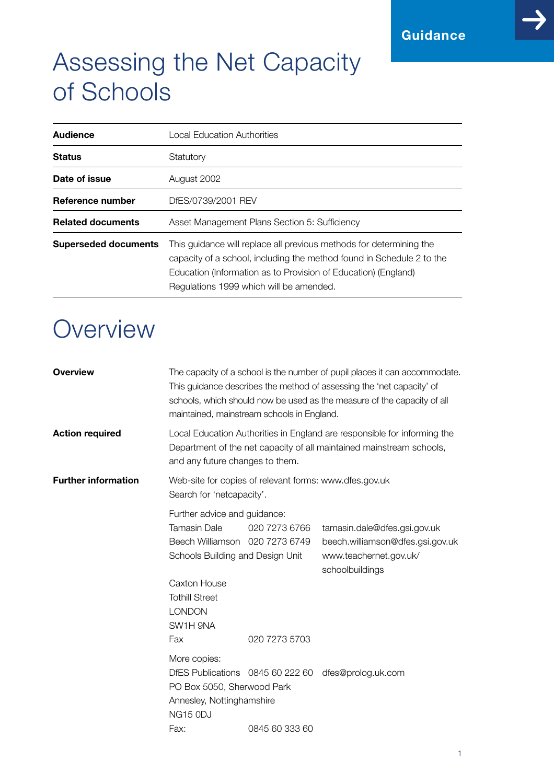# Assessing the Net Capacity of Schools

| <b>Audience</b>             | Local Education Authorities                                                                                                                                                                                                                               |
|-----------------------------|-----------------------------------------------------------------------------------------------------------------------------------------------------------------------------------------------------------------------------------------------------------|
| <b>Status</b>               | Statutory                                                                                                                                                                                                                                                 |
| Date of issue               | August 2002                                                                                                                                                                                                                                               |
| Reference number            | DfES/0739/2001 REV                                                                                                                                                                                                                                        |
| <b>Related documents</b>    | Asset Management Plans Section 5: Sufficiency                                                                                                                                                                                                             |
| <b>Superseded documents</b> | This quidance will replace all previous methods for determining the<br>capacity of a school, including the method found in Schedule 2 to the<br>Education (Information as to Provision of Education) (England)<br>Regulations 1999 which will be amended. |

# **Overview**

| <b>Overview</b><br>The capacity of a school is the number of pupil places it can accommodate.<br>This guidance describes the method of assessing the 'net capacity' of<br>schools, which should now be used as the measure of the capacity of all<br>maintained, mainstream schools in England. |                                                                                                                           |                                                                                                                                                                                     |                                                                                                               |  |
|-------------------------------------------------------------------------------------------------------------------------------------------------------------------------------------------------------------------------------------------------------------------------------------------------|---------------------------------------------------------------------------------------------------------------------------|-------------------------------------------------------------------------------------------------------------------------------------------------------------------------------------|---------------------------------------------------------------------------------------------------------------|--|
| <b>Action required</b>                                                                                                                                                                                                                                                                          |                                                                                                                           | Local Education Authorities in England are responsible for informing the<br>Department of the net capacity of all maintained mainstream schools,<br>and any future changes to them. |                                                                                                               |  |
| <b>Further information</b>                                                                                                                                                                                                                                                                      | Web-site for copies of relevant forms: www.dfes.gov.uk<br>Search for 'netcapacity'.                                       |                                                                                                                                                                                     |                                                                                                               |  |
|                                                                                                                                                                                                                                                                                                 | Further advice and guidance:<br><b>Tamasin Dale</b><br>Beech Williamson 020 7273 6749<br>Schools Building and Design Unit | 020 7273 6766                                                                                                                                                                       | tamasin.dale@dfes.gsi.gov.uk<br>beech.williamson@dfes.gsi.gov.uk<br>www.teachernet.gov.uk/<br>schoolbuildings |  |
|                                                                                                                                                                                                                                                                                                 | Caxton House<br><b>Tothill Street</b><br><b>LONDON</b><br>SW1H 9NA<br>Fax                                                 | 020 7273 5703                                                                                                                                                                       |                                                                                                               |  |
|                                                                                                                                                                                                                                                                                                 | More copies:<br>PO Box 5050, Sherwood Park<br>Annesley, Nottinghamshire<br>NG15 ODJ<br>Fax:                               | 0845 60 333 60                                                                                                                                                                      | DfES Publications 0845 60 222 60 dfes@prolog.uk.com                                                           |  |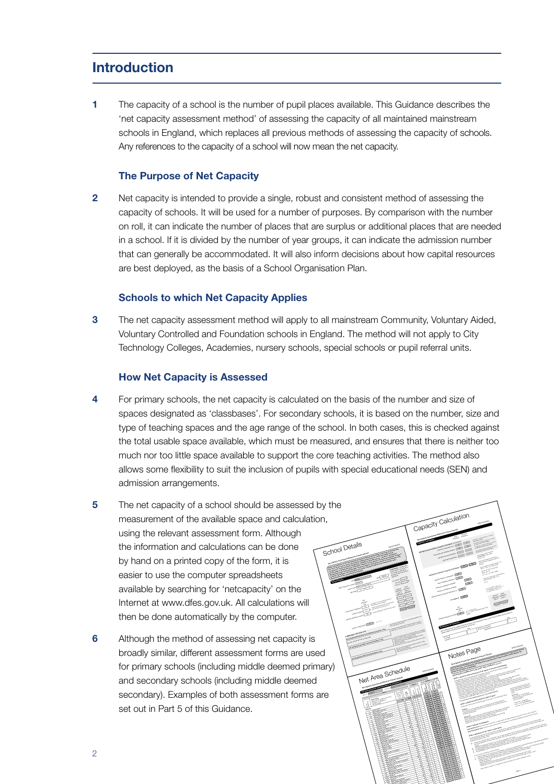# **Introduction**

**1** The capacity of a school is the number of pupil places available. This Guidance describes the 'net capacity assessment method' of assessing the capacity of all maintained mainstream schools in England, which replaces all previous methods of assessing the capacity of schools. Any references to the capacity of a school will now mean the net capacity.

# **The Purpose of Net Capacity**

**2** Net capacity is intended to provide a single, robust and consistent method of assessing the capacity of schools. It will be used for a number of purposes. By comparison with the number on roll, it can indicate the number of places that are surplus or additional places that are needed in a school. If it is divided by the number of year groups, it can indicate the admission number that can generally be accommodated. It will also inform decisions about how capital resources are best deployed, as the basis of a School Organisation Plan.

#### **Schools to which Net Capacity Applies**

**3** The net capacity assessment method will apply to all mainstream Community, Voluntary Aided, Voluntary Controlled and Foundation schools in England. The method will not apply to City Technology Colleges, Academies, nursery schools, special schools or pupil referral units.

#### **How Net Capacity is Assessed**

- **4** For primary schools, the net capacity is calculated on the basis of the number and size of spaces designated as 'classbases'. For secondary schools, it is based on the number, size and type of teaching spaces and the age range of the school. In both cases, this is checked against the total usable space available, which must be measured, and ensures that there is neither too much nor too little space available to support the core teaching activities. The method also allows some flexibility to suit the inclusion of pupils with special educational needs (SEN) and admission arrangements.
- **5** The net capacity of a school should be assessed by the measurement of the available space and calculation, using the relevant assessment form. Although the information and calculations can be done by hand on a printed copy of the form, it is easier to use the computer spreadsheets available by searching for 'netcapacity' on the Internet at www.dfes.gov.uk. All calculations will then be done automatically by the computer.
- **6** Although the method of assessing net capacity is broadly similar, different assessment forms are used for primary schools (including middle deemed primary) and secondary schools (including middle deemed secondary). Examples of both assessment forms are set out in Part 5 of this Guidance.



53A full height cupboard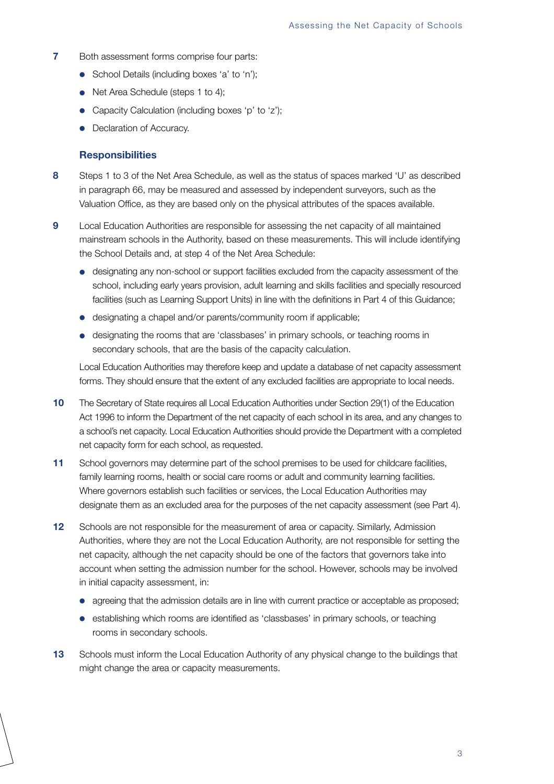- **7** Both assessment forms comprise four parts:
	- School Details (including boxes 'a' to 'n');
	- Net Area Schedule (steps 1 to 4);
	- Capacity Calculation (including boxes 'p' to 'z');
	- Declaration of Accuracy.

#### **Responsibilities**

- **8** Steps 1 to 3 of the Net Area Schedule, as well as the status of spaces marked 'U' as described in paragraph 66, may be measured and assessed by independent surveyors, such as the Valuation Office, as they are based only on the physical attributes of the spaces available.
- **9** Local Education Authorities are responsible for assessing the net capacity of all maintained mainstream schools in the Authority, based on these measurements. This will include identifying the School Details and, at step 4 of the Net Area Schedule:
	- designating any non-school or support facilities excluded from the capacity assessment of the school, including early years provision, adult learning and skills facilities and specially resourced facilities (such as Learning Support Units) in line with the definitions in Part 4 of this Guidance;
	- designating a chapel and/or parents/community room if applicable;
	- designating the rooms that are 'classbases' in primary schools, or teaching rooms in secondary schools, that are the basis of the capacity calculation.

Local Education Authorities may therefore keep and update a database of net capacity assessment forms. They should ensure that the extent of any excluded facilities are appropriate to local needs.

- **10** The Secretary of State requires all Local Education Authorities under Section 29(1) of the Education Act 1996 to inform the Department of the net capacity of each school in its area, and any changes to a school's net capacity. Local Education Authorities should provide the Department with a completed net capacity form for each school, as requested.
- 11 School governors may determine part of the school premises to be used for childcare facilities, family learning rooms, health or social care rooms or adult and community learning facilities. Where governors establish such facilities or services, the Local Education Authorities may designate them as an excluded area for the purposes of the net capacity assessment (see Part 4).
- **12** Schools are not responsible for the measurement of area or capacity. Similarly, Admission Authorities, where they are not the Local Education Authority, are not responsible for setting the net capacity, although the net capacity should be one of the factors that governors take into account when setting the admission number for the school. However, schools may be involved in initial capacity assessment, in:
	- agreeing that the admission details are in line with current practice or acceptable as proposed;
	- establishing which rooms are identified as 'classbases' in primary schools, or teaching rooms in secondary schools.
- **13** Schools must inform the Local Education Authority of any physical change to the buildings that might change the area or capacity measurements.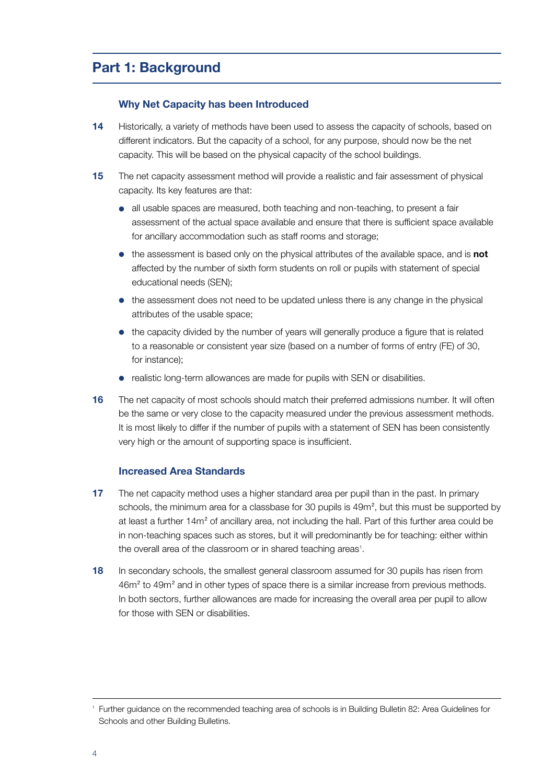# **Part 1: Background**

# **Why Net Capacity has been Introduced**

- **14** Historically, a variety of methods have been used to assess the capacity of schools, based on different indicators. But the capacity of a school, for any purpose, should now be the net capacity. This will be based on the physical capacity of the school buildings.
- **15** The net capacity assessment method will provide a realistic and fair assessment of physical capacity. Its key features are that:
	- all usable spaces are measured, both teaching and non-teaching, to present a fair assessment of the actual space available and ensure that there is sufficient space available for ancillary accommodation such as staff rooms and storage;
	- the assessment is based only on the physical attributes of the available space, and is **not** affected by the number of sixth form students on roll or pupils with statement of special educational needs (SEN);
	- the assessment does not need to be updated unless there is any change in the physical attributes of the usable space;
	- the capacity divided by the number of years will generally produce a figure that is related to a reasonable or consistent year size (based on a number of forms of entry (FE) of 30, for instance);
	- realistic long-term allowances are made for pupils with SEN or disabilities.
- **16** The net capacity of most schools should match their preferred admissions number. It will often be the same or very close to the capacity measured under the previous assessment methods. It is most likely to differ if the number of pupils with a statement of SEN has been consistently very high or the amount of supporting space is insufficient.

## **Increased Area Standards**

- **17** The net capacity method uses a higher standard area per pupil than in the past. In primary schools, the minimum area for a classbase for 30 pupils is 49m<sup>2</sup>, but this must be supported by at least a further  $14m^2$  of ancillary area, not including the hall. Part of this further area could be in non-teaching spaces such as stores, but it will predominantly be for teaching: either within the overall area of the classroom or in shared teaching areas<sup>1</sup>.
- **18** In secondary schools, the smallest general classroom assumed for 30 pupils has risen from 46m<sup>2</sup> to 49m<sup>2</sup> and in other types of space there is a similar increase from previous methods. In both sectors, further allowances are made for increasing the overall area per pupil to allow for those with SEN or disabilities.

<sup>1</sup> Further guidance on the recommended teaching area of schools is in Building Bulletin 82: Area Guidelines for Schools and other Building Bulletins.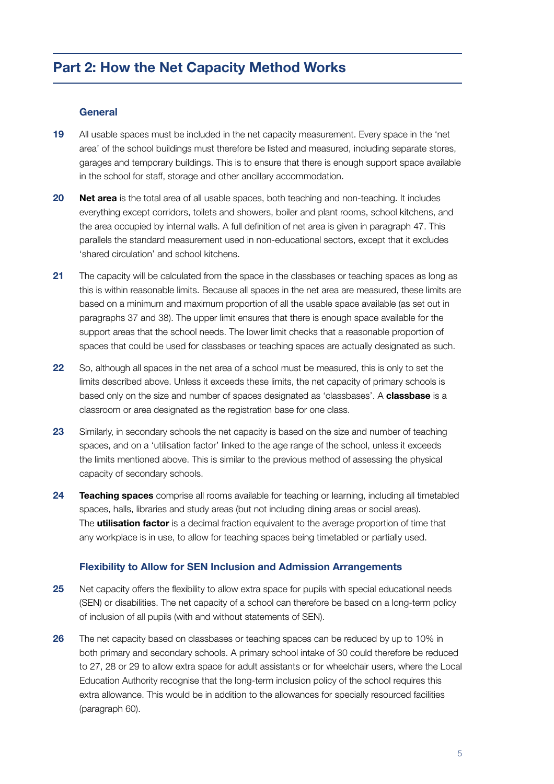# **Part 2: How the Net Capacity Method Works**

# **General**

- **19** All usable spaces must be included in the net capacity measurement. Every space in the 'net area' of the school buildings must therefore be listed and measured, including separate stores, garages and temporary buildings. This is to ensure that there is enough support space available in the school for staff, storage and other ancillary accommodation.
- **20 Net area** is the total area of all usable spaces, both teaching and non-teaching. It includes everything except corridors, toilets and showers, boiler and plant rooms, school kitchens, and the area occupied by internal walls. A full definition of net area is given in paragraph 47. This parallels the standard measurement used in non-educational sectors, except that it excludes 'shared circulation' and school kitchens.
- **21** The capacity will be calculated from the space in the classbases or teaching spaces as long as this is within reasonable limits. Because all spaces in the net area are measured, these limits are based on a minimum and maximum proportion of all the usable space available (as set out in paragraphs 37 and 38). The upper limit ensures that there is enough space available for the support areas that the school needs. The lower limit checks that a reasonable proportion of spaces that could be used for classbases or teaching spaces are actually designated as such.
- **22** So, although all spaces in the net area of a school must be measured, this is only to set the limits described above. Unless it exceeds these limits, the net capacity of primary schools is based only on the size and number of spaces designated as 'classbases'. A **classbase** is a classroom or area designated as the registration base for one class.
- **23** Similarly, in secondary schools the net capacity is based on the size and number of teaching spaces, and on a 'utilisation factor' linked to the age range of the school, unless it exceeds the limits mentioned above. This is similar to the previous method of assessing the physical capacity of secondary schools.
- **24 Teaching spaces** comprise all rooms available for teaching or learning, including all timetabled spaces, halls, libraries and study areas (but not including dining areas or social areas). The **utilisation factor** is a decimal fraction equivalent to the average proportion of time that any workplace is in use, to allow for teaching spaces being timetabled or partially used.

## **Flexibility to Allow for SEN Inclusion and Admission Arrangements**

- **25** Net capacity offers the flexibility to allow extra space for pupils with special educational needs (SEN) or disabilities. The net capacity of a school can therefore be based on a long-term policy of inclusion of all pupils (with and without statements of SEN).
- **26** The net capacity based on classbases or teaching spaces can be reduced by up to 10% in both primary and secondary schools. A primary school intake of 30 could therefore be reduced to 27, 28 or 29 to allow extra space for adult assistants or for wheelchair users, where the Local Education Authority recognise that the long-term inclusion policy of the school requires this extra allowance. This would be in addition to the allowances for specially resourced facilities (paragraph 60).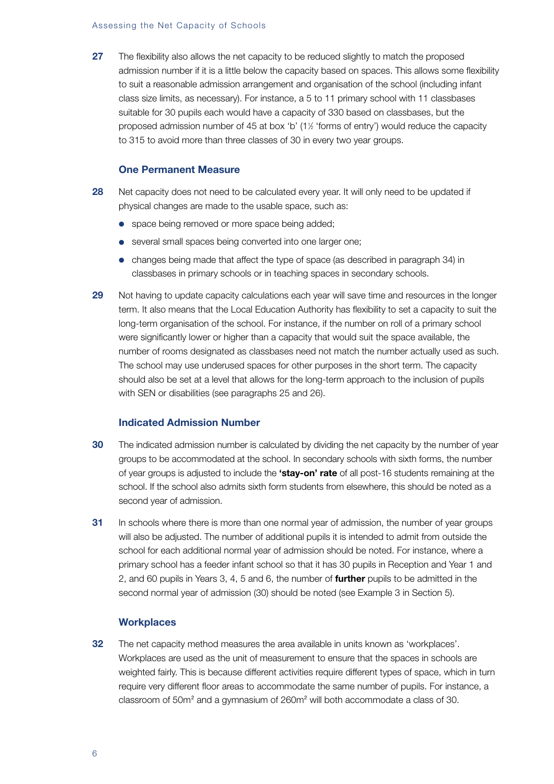#### Assessing the Net Capacity of Schools

**27** The flexibility also allows the net capacity to be reduced slightly to match the proposed admission number if it is a little below the capacity based on spaces. This allows some flexibility to suit a reasonable admission arrangement and organisation of the school (including infant class size limits, as necessary). For instance, a 5 to 11 primary school with 11 classbases suitable for 30 pupils each would have a capacity of 330 based on classbases, but the proposed admission number of 45 at box 'b' (11 ⁄2 'forms of entry') would reduce the capacity to 315 to avoid more than three classes of 30 in every two year groups.

#### **One Permanent Measure**

- **28** Net capacity does not need to be calculated every year. It will only need to be updated if physical changes are made to the usable space, such as:
	- space being removed or more space being added;
	- several small spaces being converted into one larger one;
	- changes being made that affect the type of space (as described in paragraph 34) in classbases in primary schools or in teaching spaces in secondary schools.
- **29** Not having to update capacity calculations each year will save time and resources in the longer term. It also means that the Local Education Authority has flexibility to set a capacity to suit the long-term organisation of the school. For instance, if the number on roll of a primary school were significantly lower or higher than a capacity that would suit the space available, the number of rooms designated as classbases need not match the number actually used as such. The school may use underused spaces for other purposes in the short term. The capacity should also be set at a level that allows for the long-term approach to the inclusion of pupils with SEN or disabilities (see paragraphs 25 and 26).

# **Indicated Admission Number**

- **30** The indicated admission number is calculated by dividing the net capacity by the number of year groups to be accommodated at the school. In secondary schools with sixth forms, the number of year groups is adjusted to include the **'stay-on' rate** of all post-16 students remaining at the school. If the school also admits sixth form students from elsewhere, this should be noted as a second year of admission.
- **31** In schools where there is more than one normal year of admission, the number of year groups will also be adjusted. The number of additional pupils it is intended to admit from outside the school for each additional normal year of admission should be noted. For instance, where a primary school has a feeder infant school so that it has 30 pupils in Reception and Year 1 and 2, and 60 pupils in Years 3, 4, 5 and 6, the number of **further** pupils to be admitted in the second normal year of admission (30) should be noted (see Example 3 in Section 5).

#### **Workplaces**

**32** The net capacity method measures the area available in units known as 'workplaces'. Workplaces are used as the unit of measurement to ensure that the spaces in schools are weighted fairly. This is because different activities require different types of space, which in turn require very different floor areas to accommodate the same number of pupils. For instance, a classroom of  $50m^2$  and a gymnasium of  $260m^2$  will both accommodate a class of 30.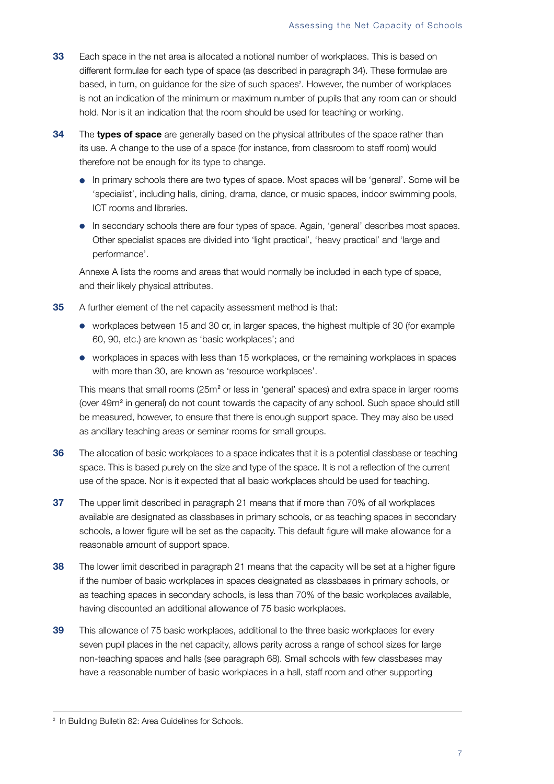- **33** Each space in the net area is allocated a notional number of workplaces. This is based on different formulae for each type of space (as described in paragraph 34). These formulae are based, in turn, on guidance for the size of such spaces<sup>2</sup>. However, the number of workplaces is not an indication of the minimum or maximum number of pupils that any room can or should hold. Nor is it an indication that the room should be used for teaching or working.
- **34** The **types of space** are generally based on the physical attributes of the space rather than its use. A change to the use of a space (for instance, from classroom to staff room) would therefore not be enough for its type to change.
	- In primary schools there are two types of space. Most spaces will be 'general'. Some will be 'specialist', including halls, dining, drama, dance, or music spaces, indoor swimming pools, ICT rooms and libraries.
	- In secondary schools there are four types of space. Again, 'general' describes most spaces. Other specialist spaces are divided into 'light practical', 'heavy practical' and 'large and performance'.

Annexe A lists the rooms and areas that would normally be included in each type of space, and their likely physical attributes.

- **35** A further element of the net capacity assessment method is that:
	- workplaces between 15 and 30 or, in larger spaces, the highest multiple of 30 (for example 60, 90, etc.) are known as 'basic workplaces'; and
	- workplaces in spaces with less than 15 workplaces, or the remaining workplaces in spaces with more than 30, are known as 'resource workplaces'.

This means that small rooms (25m<sup>2</sup> or less in 'general' spaces) and extra space in larger rooms (over 49m<sup>2</sup> in general) do not count towards the capacity of any school. Such space should still be measured, however, to ensure that there is enough support space. They may also be used as ancillary teaching areas or seminar rooms for small groups.

- **36** The allocation of basic workplaces to a space indicates that it is a potential classbase or teaching space. This is based purely on the size and type of the space. It is not a reflection of the current use of the space. Nor is it expected that all basic workplaces should be used for teaching.
- **37** The upper limit described in paragraph 21 means that if more than 70% of all workplaces available are designated as classbases in primary schools, or as teaching spaces in secondary schools, a lower figure will be set as the capacity. This default figure will make allowance for a reasonable amount of support space.
- **38** The lower limit described in paragraph 21 means that the capacity will be set at a higher figure if the number of basic workplaces in spaces designated as classbases in primary schools, or as teaching spaces in secondary schools, is less than 70% of the basic workplaces available, having discounted an additional allowance of 75 basic workplaces.
- **39** This allowance of 75 basic workplaces, additional to the three basic workplaces for every seven pupil places in the net capacity, allows parity across a range of school sizes for large non-teaching spaces and halls (see paragraph 68). Small schools with few classbases may have a reasonable number of basic workplaces in a hall, staff room and other supporting

<sup>&</sup>lt;sup>2</sup> In Building Bulletin 82: Area Guidelines for Schools.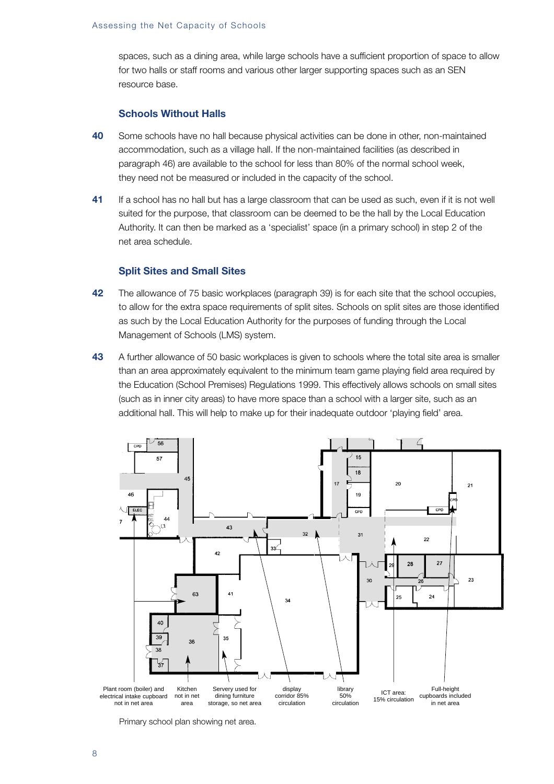spaces, such as a dining area, while large schools have a sufficient proportion of space to allow for two halls or staff rooms and various other larger supporting spaces such as an SEN resource base.

## **Schools Without Halls**

- **40** Some schools have no hall because physical activities can be done in other, non-maintained accommodation, such as a village hall. If the non-maintained facilities (as described in paragraph 46) are available to the school for less than 80% of the normal school week, they need not be measured or included in the capacity of the school.
- **41** If a school has no hall but has a large classroom that can be used as such, even if it is not well suited for the purpose, that classroom can be deemed to be the hall by the Local Education Authority. It can then be marked as a 'specialist' space (in a primary school) in step 2 of the net area schedule.

## **Split Sites and Small Sites**

- **42** The allowance of 75 basic workplaces (paragraph 39) is for each site that the school occupies, to allow for the extra space requirements of split sites. Schools on split sites are those identified as such by the Local Education Authority for the purposes of funding through the Local Management of Schools (LMS) system.
- **43** A further allowance of 50 basic workplaces is given to schools where the total site area is smaller than an area approximately equivalent to the minimum team game playing field area required by the Education (School Premises) Regulations 1999. This effectively allows schools on small sites (such as in inner city areas) to have more space than a school with a larger site, such as an additional hall. This will help to make up for their inadequate outdoor 'playing field' area.



Primary school plan showing net area.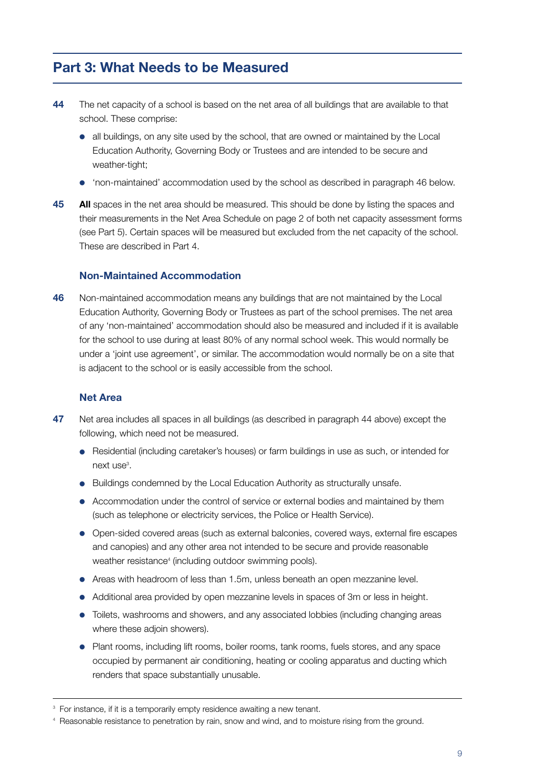# **Part 3: What Needs to be Measured**

- **44** The net capacity of a school is based on the net area of all buildings that are available to that school. These comprise:
	- all buildings, on any site used by the school, that are owned or maintained by the Local Education Authority, Governing Body or Trustees and are intended to be secure and weather-tight:
	- 'non-maintained' accommodation used by the school as described in paragraph 46 below.
- **45 All** spaces in the net area should be measured. This should be done by listing the spaces and their measurements in the Net Area Schedule on page 2 of both net capacity assessment forms (see Part 5). Certain spaces will be measured but excluded from the net capacity of the school. These are described in Part 4.

# **Non-Maintained Accommodation**

**46** Non-maintained accommodation means any buildings that are not maintained by the Local Education Authority, Governing Body or Trustees as part of the school premises. The net area of any 'non-maintained' accommodation should also be measured and included if it is available for the school to use during at least 80% of any normal school week. This would normally be under a 'joint use agreement', or similar. The accommodation would normally be on a site that is adjacent to the school or is easily accessible from the school.

# **Net Area**

- **47** Net area includes all spaces in all buildings (as described in paragraph 44 above) except the following, which need not be measured.
	- Residential (including caretaker's houses) or farm buildings in use as such, or intended for next use<sup>3</sup>.
	- Buildings condemned by the Local Education Authority as structurally unsafe.
	- Accommodation under the control of service or external bodies and maintained by them (such as telephone or electricity services, the Police or Health Service).
	- Open-sided covered areas (such as external balconies, covered ways, external fire escapes and canopies) and any other area not intended to be secure and provide reasonable weather resistance<sup>4</sup> (including outdoor swimming pools).
	- Areas with headroom of less than 1.5m, unless beneath an open mezzanine level.
	- Additional area provided by open mezzanine levels in spaces of 3m or less in height.
	- Toilets, washrooms and showers, and any associated lobbies (including changing areas where these adjoin showers).
	- Plant rooms, including lift rooms, boiler rooms, tank rooms, fuels stores, and any space occupied by permanent air conditioning, heating or cooling apparatus and ducting which renders that space substantially unusable.

<sup>&</sup>lt;sup>3</sup> For instance, if it is a temporarily empty residence awaiting a new tenant.

<sup>4</sup> Reasonable resistance to penetration by rain, snow and wind, and to moisture rising from the ground.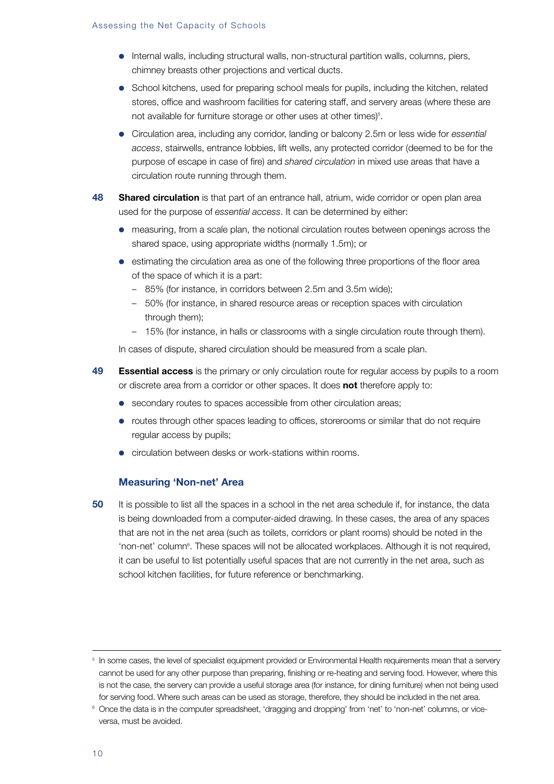#### Assessing the Net Capacity of Schools

- Internal walls, including structural walls, non-structural partition walls, columns, piers, chimney breasts other projections and vertical ducts.
- School kitchens, used for preparing school meals for pupils, including the kitchen, related stores, office and washroom facilities for catering staff, and servery areas (where these are not available for furniture storage or other uses at other times)<sup>5</sup>.
- Circulation area, including any corridor, landing or balcony 2.5m or less wide for *essential access*, stairwells, entrance lobbies, lift wells, any protected corridor (deemed to be for the purpose of escape in case of fire) and *shared circulation* in mixed use areas that have a circulation route running through them.
- **48 Shared circulation** is that part of an entrance hall, atrium, wide corridor or open plan area used for the purpose of *essential access*. It can be determined by either:
	- measuring, from a scale plan, the notional circulation routes between openings across the shared space, using appropriate widths (normally 1.5m); or
	- estimating the circulation area as one of the following three proportions of the floor area of the space of which it is a part:
		- 85% (for instance, in corridors between 2.5m and 3.5m wide);
		- 50% (for instance, in shared resource areas or reception spaces with circulation through them);
		- 15% (for instance, in halls or classrooms with a single circulation route through them).

In cases of dispute, shared circulation should be measured from a scale plan.

- **49 Essential access** is the primary or only circulation route for regular access by pupils to a room or discrete area from a corridor or other spaces. It does **not** therefore apply to:
	- secondary routes to spaces accessible from other circulation areas;
	- routes through other spaces leading to offices, storerooms or similar that do not require regular access by pupils;
	- circulation between desks or work-stations within rooms.

#### **Measuring 'Non-net' Area**

**50** It is possible to list all the spaces in a school in the net area schedule if, for instance, the data is being downloaded from a computer-aided drawing. In these cases, the area of any spaces that are not in the net area (such as toilets, corridors or plant rooms) should be noted in the 'non-net' column<sup>e</sup>. These spaces will not be allocated workplaces. Although it is not required, it can be useful to list potentially useful spaces that are not currently in the net area, such as school kitchen facilities, for future reference or benchmarking.

<sup>&</sup>lt;sup>5</sup> In some cases, the level of specialist equipment provided or Environmental Health requirements mean that a servery cannot be used for any other purpose than preparing, finishing or re-heating and serving food. However, where this is not the case, the servery can provide a useful storage area (for instance, for dining furniture) when not being used for serving food. Where such areas can be used as storage, therefore, they should be included in the net area.

<sup>&</sup>lt;sup>6</sup> Once the data is in the computer spreadsheet, 'dragging and dropping' from 'net' to 'non-net' columns, or viceversa, must be avoided.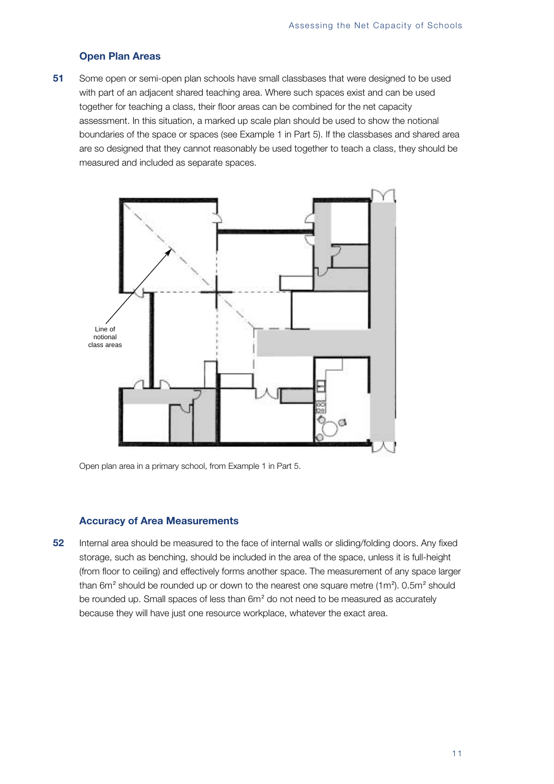# **Open Plan Areas**

**51** Some open or semi-open plan schools have small classbases that were designed to be used with part of an adjacent shared teaching area. Where such spaces exist and can be used together for teaching a class, their floor areas can be combined for the net capacity assessment. In this situation, a marked up scale plan should be used to show the notional boundaries of the space or spaces (see Example 1 in Part 5). If the classbases and shared area are so designed that they cannot reasonably be used together to teach a class, they should be measured and included as separate spaces.



Open plan area in a primary school, from Example 1 in Part 5.

#### **Accuracy of Area Measurements**

**52** Internal area should be measured to the face of internal walls or sliding/folding doors. Any fixed storage, such as benching, should be included in the area of the space, unless it is full-height (from floor to ceiling) and effectively forms another space. The measurement of any space larger than 6m<sup>2</sup> should be rounded up or down to the nearest one square metre (1m<sup>2</sup>). 0.5m<sup>2</sup> should be rounded up. Small spaces of less than 6m<sup>2</sup> do not need to be measured as accurately because they will have just one resource workplace, whatever the exact area.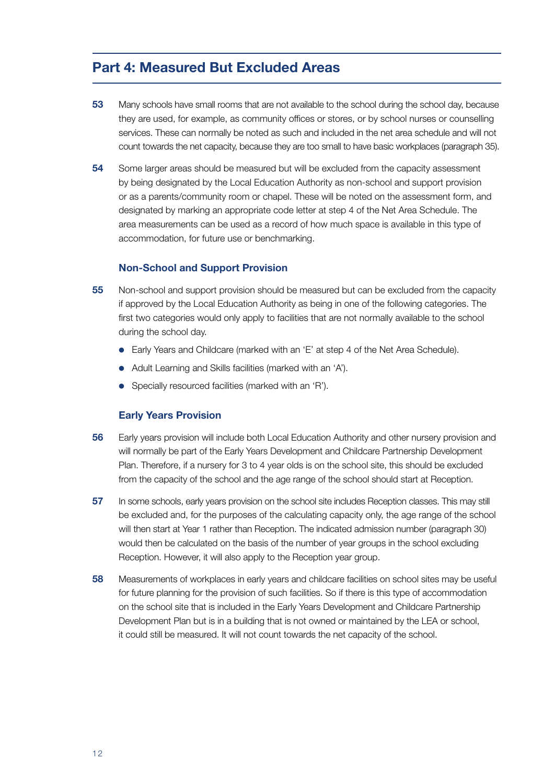# **Part 4: Measured But Excluded Areas**

- **53** Many schools have small rooms that are not available to the school during the school day, because they are used, for example, as community offices or stores, or by school nurses or counselling services. These can normally be noted as such and included in the net area schedule and will not count towards the net capacity, because they are too small to have basic workplaces (paragraph 35).
- **54** Some larger areas should be measured but will be excluded from the capacity assessment by being designated by the Local Education Authority as non-school and support provision or as a parents/community room or chapel. These will be noted on the assessment form, and designated by marking an appropriate code letter at step 4 of the Net Area Schedule. The area measurements can be used as a record of how much space is available in this type of accommodation, for future use or benchmarking.

#### **Non-School and Support Provision**

- **55** Non-school and support provision should be measured but can be excluded from the capacity if approved by the Local Education Authority as being in one of the following categories. The first two categories would only apply to facilities that are not normally available to the school during the school day.
	- Early Years and Childcare (marked with an 'E' at step 4 of the Net Area Schedule).
	- Adult Learning and Skills facilities (marked with an 'A').
	- Specially resourced facilities (marked with an 'R').

#### **Early Years Provision**

- **56** Early years provision will include both Local Education Authority and other nursery provision and will normally be part of the Early Years Development and Childcare Partnership Development Plan. Therefore, if a nursery for 3 to 4 year olds is on the school site, this should be excluded from the capacity of the school and the age range of the school should start at Reception.
- **57** In some schools, early years provision on the school site includes Reception classes. This may still be excluded and, for the purposes of the calculating capacity only, the age range of the school will then start at Year 1 rather than Reception. The indicated admission number (paragraph 30) would then be calculated on the basis of the number of year groups in the school excluding Reception. However, it will also apply to the Reception year group.
- **58** Measurements of workplaces in early years and childcare facilities on school sites may be useful for future planning for the provision of such facilities. So if there is this type of accommodation on the school site that is included in the Early Years Development and Childcare Partnership Development Plan but is in a building that is not owned or maintained by the LEA or school, it could still be measured. It will not count towards the net capacity of the school.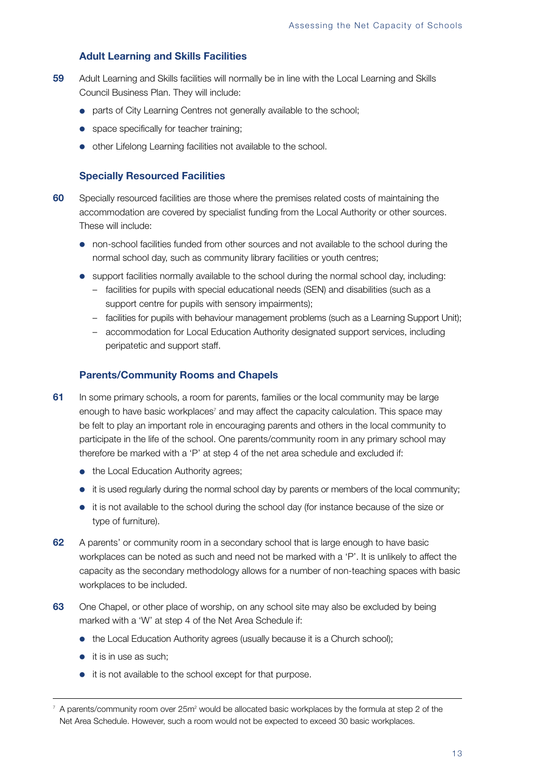# **Adult Learning and Skills Facilities**

- **59** Adult Learning and Skills facilities will normally be in line with the Local Learning and Skills Council Business Plan. They will include:
	- parts of City Learning Centres not generally available to the school;
	- space specifically for teacher training;
	- other Lifelong Learning facilities not available to the school.

#### **Specially Resourced Facilities**

- **60** Specially resourced facilities are those where the premises related costs of maintaining the accommodation are covered by specialist funding from the Local Authority or other sources. These will include:
	- non-school facilities funded from other sources and not available to the school during the normal school day, such as community library facilities or youth centres;
	- support facilities normally available to the school during the normal school day, including:
		- facilities for pupils with special educational needs (SEN) and disabilities (such as a support centre for pupils with sensory impairments);
		- facilities for pupils with behaviour management problems (such as a Learning Support Unit);
		- accommodation for Local Education Authority designated support services, including peripatetic and support staff.

#### **Parents/Community Rooms and Chapels**

- **61** In some primary schools, a room for parents, families or the local community may be large enough to have basic workplaces<sup> $7$ </sup> and may affect the capacity calculation. This space may be felt to play an important role in encouraging parents and others in the local community to participate in the life of the school. One parents/community room in any primary school may therefore be marked with a 'P' at step 4 of the net area schedule and excluded if:
	- the Local Education Authority agrees;
	- it is used regularly during the normal school day by parents or members of the local community;
	- it is not available to the school during the school day (for instance because of the size or type of furniture).
- **62** A parents' or community room in a secondary school that is large enough to have basic workplaces can be noted as such and need not be marked with a 'P'. It is unlikely to affect the capacity as the secondary methodology allows for a number of non-teaching spaces with basic workplaces to be included.
- **63** One Chapel, or other place of worship, on any school site may also be excluded by being marked with a 'W' at step 4 of the Net Area Schedule if:
	- the Local Education Authority agrees (usually because it is a Church school):
	- it is in use as such;
	- it is not available to the school except for that purpose.

 $7$  A parents/community room over 25m<sup>2</sup> would be allocated basic workplaces by the formula at step 2 of the Net Area Schedule. However, such a room would not be expected to exceed 30 basic workplaces.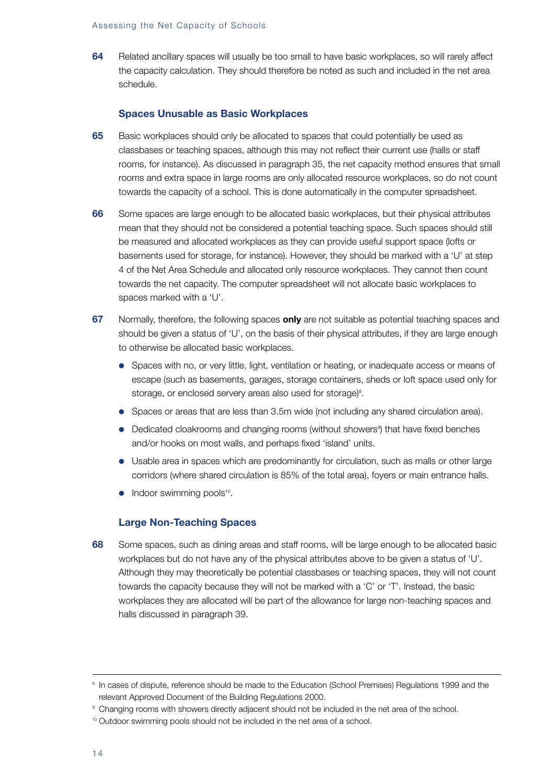#### Assessing the Net Capacity of Schools

**64** Related ancillary spaces will usually be too small to have basic workplaces, so will rarely affect the capacity calculation. They should therefore be noted as such and included in the net area schedule.

## **Spaces Unusable as Basic Workplaces**

- **65** Basic workplaces should only be allocated to spaces that could potentially be used as classbases or teaching spaces, although this may not reflect their current use (halls or staff rooms, for instance). As discussed in paragraph 35, the net capacity method ensures that small rooms and extra space in large rooms are only allocated resource workplaces, so do not count towards the capacity of a school. This is done automatically in the computer spreadsheet.
- **66** Some spaces are large enough to be allocated basic workplaces, but their physical attributes mean that they should not be considered a potential teaching space. Such spaces should still be measured and allocated workplaces as they can provide useful support space (lofts or basements used for storage, for instance). However, they should be marked with a 'U' at step 4 of the Net Area Schedule and allocated only resource workplaces. They cannot then count towards the net capacity. The computer spreadsheet will not allocate basic workplaces to spaces marked with a 'U'.
- **67** Normally, therefore, the following spaces **only** are not suitable as potential teaching spaces and should be given a status of 'U', on the basis of their physical attributes, if they are large enough to otherwise be allocated basic workplaces.
	- Spaces with no, or very little, light, ventilation or heating, or inadequate access or means of escape (such as basements, garages, storage containers, sheds or loft space used only for storage, or enclosed servery areas also used for storage)<sup>8</sup>.
	- Spaces or areas that are less than 3.5m wide (not including any shared circulation area).
	- Dedicated cloakrooms and changing rooms (without showers<sup>9</sup>) that have fixed benches and/or hooks on most walls, and perhaps fixed 'island' units.
	- Usable area in spaces which are predominantly for circulation, such as malls or other large corridors (where shared circulation is 85% of the total area), foyers or main entrance halls.
	- $\bullet$  Indoor swimming pools<sup>10</sup>.

#### **Large Non-Teaching Spaces**

**68** Some spaces, such as dining areas and staff rooms, will be large enough to be allocated basic workplaces but do not have any of the physical attributes above to be given a status of 'U'. Although they may theoretically be potential classbases or teaching spaces, they will not count towards the capacity because they will not be marked with a 'C' or 'T'. Instead, the basic workplaces they are allocated will be part of the allowance for large non-teaching spaces and halls discussed in paragraph 39.

<sup>8</sup> In cases of dispute, reference should be made to the Education (School Premises) Regulations 1999 and the relevant Approved Document of the Building Regulations 2000.

<sup>&</sup>lt;sup>9</sup> Changing rooms with showers directly adjacent should not be included in the net area of the school.

<sup>&</sup>lt;sup>10</sup> Outdoor swimming pools should not be included in the net area of a school.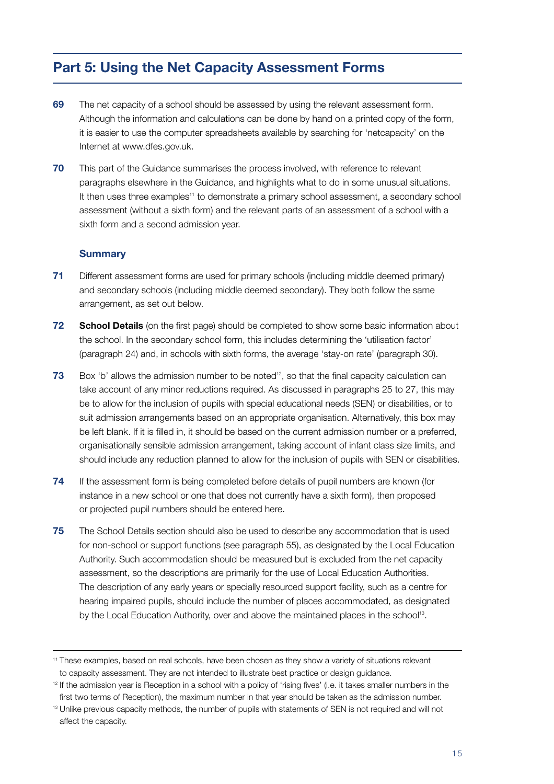# **Part 5: Using the Net Capacity Assessment Forms**

- **69** The net capacity of a school should be assessed by using the relevant assessment form. Although the information and calculations can be done by hand on a printed copy of the form, it is easier to use the computer spreadsheets available by searching for 'netcapacity' on the Internet at www.dfes.gov.uk.
- **70** This part of the Guidance summarises the process involved, with reference to relevant paragraphs elsewhere in the Guidance, and highlights what to do in some unusual situations. It then uses three examples<sup>11</sup> to demonstrate a primary school assessment, a secondary school assessment (without a sixth form) and the relevant parts of an assessment of a school with a sixth form and a second admission year.

# **Summary**

- **71** Different assessment forms are used for primary schools (including middle deemed primary) and secondary schools (including middle deemed secondary). They both follow the same arrangement, as set out below.
- **72 School Details** (on the first page) should be completed to show some basic information about the school. In the secondary school form, this includes determining the 'utilisation factor' (paragraph 24) and, in schools with sixth forms, the average 'stay-on rate' (paragraph 30).
- **73** Box 'b' allows the admission number to be noted<sup>12</sup>, so that the final capacity calculation can take account of any minor reductions required. As discussed in paragraphs 25 to 27, this may be to allow for the inclusion of pupils with special educational needs (SEN) or disabilities, or to suit admission arrangements based on an appropriate organisation. Alternatively, this box may be left blank. If it is filled in, it should be based on the current admission number or a preferred, organisationally sensible admission arrangement, taking account of infant class size limits, and should include any reduction planned to allow for the inclusion of pupils with SEN or disabilities.
- **74** If the assessment form is being completed before details of pupil numbers are known (for instance in a new school or one that does not currently have a sixth form), then proposed or projected pupil numbers should be entered here.
- **75** The School Details section should also be used to describe any accommodation that is used for non-school or support functions (see paragraph 55), as designated by the Local Education Authority. Such accommodation should be measured but is excluded from the net capacity assessment, so the descriptions are primarily for the use of Local Education Authorities. The description of any early years or specially resourced support facility, such as a centre for hearing impaired pupils, should include the number of places accommodated, as designated by the Local Education Authority, over and above the maintained places in the school<sup>13</sup>.

<sup>11</sup> These examples, based on real schools, have been chosen as they show a variety of situations relevant to capacity assessment. They are not intended to illustrate best practice or design guidance.

 $12$  If the admission year is Reception in a school with a policy of 'rising fives' (i.e. it takes smaller numbers in the first two terms of Reception), the maximum number in that year should be taken as the admission number.

<sup>13</sup> Unlike previous capacity methods, the number of pupils with statements of SEN is not required and will not affect the capacity.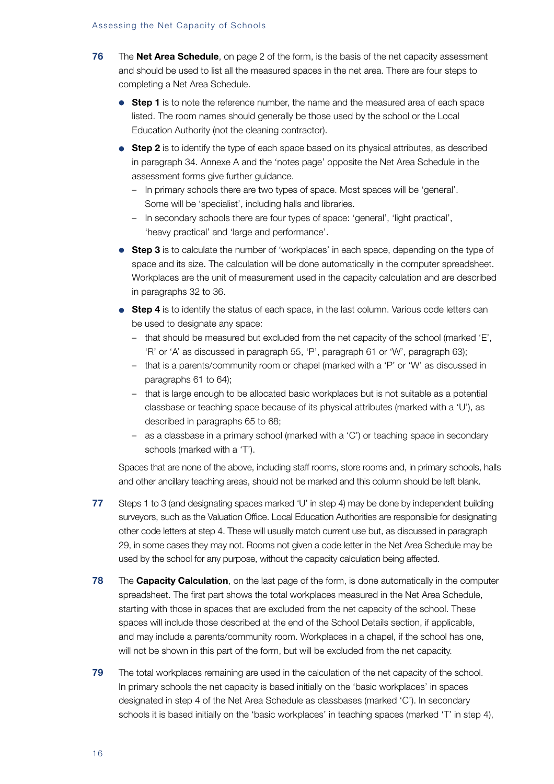- **76** The **Net Area Schedule**, on page 2 of the form, is the basis of the net capacity assessment and should be used to list all the measured spaces in the net area. There are four steps to completing a Net Area Schedule.
	- **Step 1** is to note the reference number, the name and the measured area of each space listed. The room names should generally be those used by the school or the Local Education Authority (not the cleaning contractor).
	- **Step 2** is to identify the type of each space based on its physical attributes, as described in paragraph 34. Annexe A and the 'notes page' opposite the Net Area Schedule in the assessment forms give further guidance.
		- In primary schools there are two types of space. Most spaces will be 'general'. Some will be 'specialist', including halls and libraries.
		- In secondary schools there are four types of space: 'general', 'light practical', 'heavy practical' and 'large and performance'.
	- **Step 3** is to calculate the number of 'workplaces' in each space, depending on the type of space and its size. The calculation will be done automatically in the computer spreadsheet. Workplaces are the unit of measurement used in the capacity calculation and are described in paragraphs 32 to 36.
	- **Step 4** is to identify the status of each space, in the last column. Various code letters can be used to designate any space:
		- that should be measured but excluded from the net capacity of the school (marked 'E', 'R' or 'A' as discussed in paragraph 55, 'P', paragraph 61 or 'W', paragraph 63);
		- that is a parents/community room or chapel (marked with a 'P' or 'W' as discussed in paragraphs 61 to 64);
		- that is large enough to be allocated basic workplaces but is not suitable as a potential classbase or teaching space because of its physical attributes (marked with a 'U'), as described in paragraphs 65 to 68;
		- as a classbase in a primary school (marked with a 'C') or teaching space in secondary schools (marked with a 'T').

Spaces that are none of the above, including staff rooms, store rooms and, in primary schools, halls and other ancillary teaching areas, should not be marked and this column should be left blank.

- **77** Steps 1 to 3 (and designating spaces marked 'U' in step 4) may be done by independent building surveyors, such as the Valuation Office. Local Education Authorities are responsible for designating other code letters at step 4. These will usually match current use but, as discussed in paragraph 29, in some cases they may not. Rooms not given a code letter in the Net Area Schedule may be used by the school for any purpose, without the capacity calculation being affected.
- **78** The **Capacity Calculation**, on the last page of the form, is done automatically in the computer spreadsheet. The first part shows the total workplaces measured in the Net Area Schedule, starting with those in spaces that are excluded from the net capacity of the school. These spaces will include those described at the end of the School Details section, if applicable, and may include a parents/community room. Workplaces in a chapel, if the school has one, will not be shown in this part of the form, but will be excluded from the net capacity.
- **79** The total workplaces remaining are used in the calculation of the net capacity of the school. In primary schools the net capacity is based initially on the 'basic workplaces' in spaces designated in step 4 of the Net Area Schedule as classbases (marked 'C'). In secondary schools it is based initially on the 'basic workplaces' in teaching spaces (marked 'T' in step 4),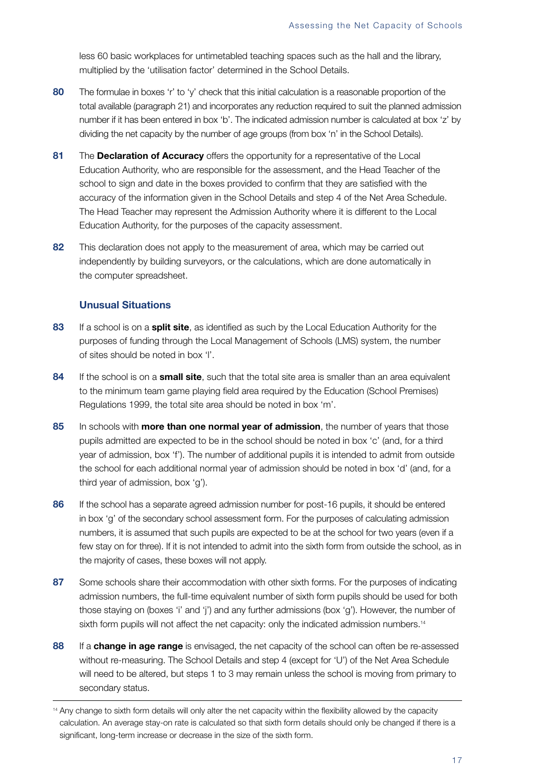less 60 basic workplaces for untimetabled teaching spaces such as the hall and the library, multiplied by the 'utilisation factor' determined in the School Details.

- **80** The formulae in boxes 'r' to 'y' check that this initial calculation is a reasonable proportion of the total available (paragraph 21) and incorporates any reduction required to suit the planned admission number if it has been entered in box 'b'. The indicated admission number is calculated at box 'z' by dividing the net capacity by the number of age groups (from box 'n' in the School Details).
- **81** The **Declaration of Accuracy** offers the opportunity for a representative of the Local Education Authority, who are responsible for the assessment, and the Head Teacher of the school to sign and date in the boxes provided to confirm that they are satisfied with the accuracy of the information given in the School Details and step 4 of the Net Area Schedule. The Head Teacher may represent the Admission Authority where it is different to the Local Education Authority, for the purposes of the capacity assessment.
- **82** This declaration does not apply to the measurement of area, which may be carried out independently by building surveyors, or the calculations, which are done automatically in the computer spreadsheet.

# **Unusual Situations**

- **83** If a school is on a **split site**, as identified as such by the Local Education Authority for the purposes of funding through the Local Management of Schools (LMS) system, the number of sites should be noted in box 'l'.
- **84** If the school is on a **small site**, such that the total site area is smaller than an area equivalent to the minimum team game playing field area required by the Education (School Premises) Regulations 1999, the total site area should be noted in box 'm'.
- **85** In schools with **more than one normal year of admission**, the number of years that those pupils admitted are expected to be in the school should be noted in box 'c' (and, for a third year of admission, box 'f'). The number of additional pupils it is intended to admit from outside the school for each additional normal year of admission should be noted in box 'd' (and, for a third year of admission, box 'g').
- **86** If the school has a separate agreed admission number for post-16 pupils, it should be entered in box 'g' of the secondary school assessment form. For the purposes of calculating admission numbers, it is assumed that such pupils are expected to be at the school for two years (even if a few stay on for three). If it is not intended to admit into the sixth form from outside the school, as in the majority of cases, these boxes will not apply.
- **87** Some schools share their accommodation with other sixth forms. For the purposes of indicating admission numbers, the full-time equivalent number of sixth form pupils should be used for both those staying on (boxes 'i' and 'j') and any further admissions (box 'g'). However, the number of sixth form pupils will not affect the net capacity: only the indicated admission numbers.<sup>14</sup>
- **88** If a **change in age range** is envisaged, the net capacity of the school can often be re-assessed without re-measuring. The School Details and step 4 (except for 'U') of the Net Area Schedule will need to be altered, but steps 1 to 3 may remain unless the school is moving from primary to secondary status.

<sup>&</sup>lt;sup>14</sup> Any change to sixth form details will only alter the net capacity within the flexibility allowed by the capacity calculation. An average stay-on rate is calculated so that sixth form details should only be changed if there is a significant, long-term increase or decrease in the size of the sixth form.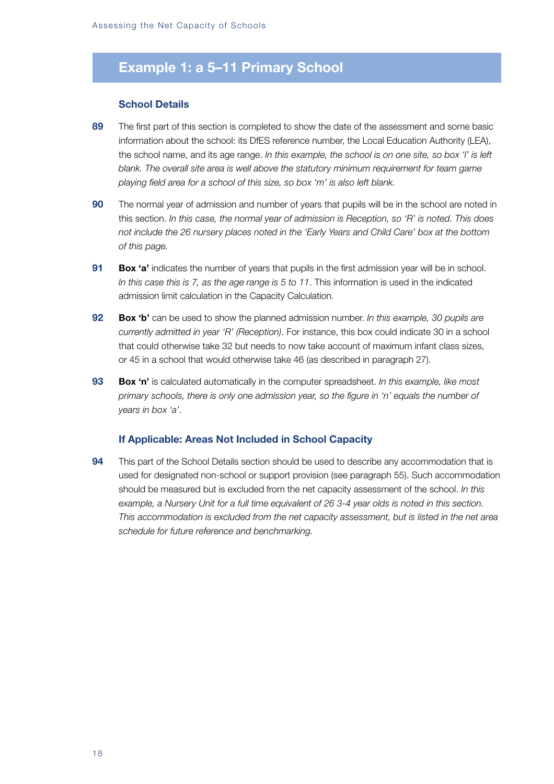# **Example 1: a 5–11 Primary School**

#### **School Details**

- **89** The first part of this section is completed to show the date of the assessment and some basic information about the school: its DfES reference number, the Local Education Authority (LEA), the school name, and its age range. *In this example, the school is on one site, so box 'l' is left blank. The overall site area is well above the statutory minimum requirement for team game playing field area for a school of this size, so box 'm' is also left blank.*
- **90** The normal year of admission and number of years that pupils will be in the school are noted in this section. *In this case, the normal year of admission is Reception, so 'R' is noted. This does not include the 26 nursery places noted in the 'Early Years and Child Care' box at the bottom of this page.*
- **91 Box 'a'** indicates the number of years that pupils in the first admission year will be in school. *In this case this is 7, as the age range is 5 to 11*. This information is used in the indicated admission limit calculation in the Capacity Calculation.
- **92 Box 'b'** can be used to show the planned admission number. *In this example, 30 pupils are currently admitted in year 'R' (Reception)*. For instance, this box could indicate 30 in a school that could otherwise take 32 but needs to now take account of maximum infant class sizes, or 45 in a school that would otherwise take 46 (as described in paragraph 27).
- **93 Box 'n'** is calculated automatically in the computer spreadsheet. *In this example, like most primary schools, there is only one admission year, so the figure in 'n' equals the number of years in box 'a'*.

## **If Applicable: Areas Not Included in School Capacity**

**94** This part of the School Details section should be used to describe any accommodation that is used for designated non-school or support provision (see paragraph 55). Such accommodation should be measured but is excluded from the net capacity assessment of the school. *In this example, a Nursery Unit for a full time equivalent of 26 3-4 year olds is noted in this section. This accommodation is excluded from the net capacity assessment, but is listed in the net area schedule for future reference and benchmarking.*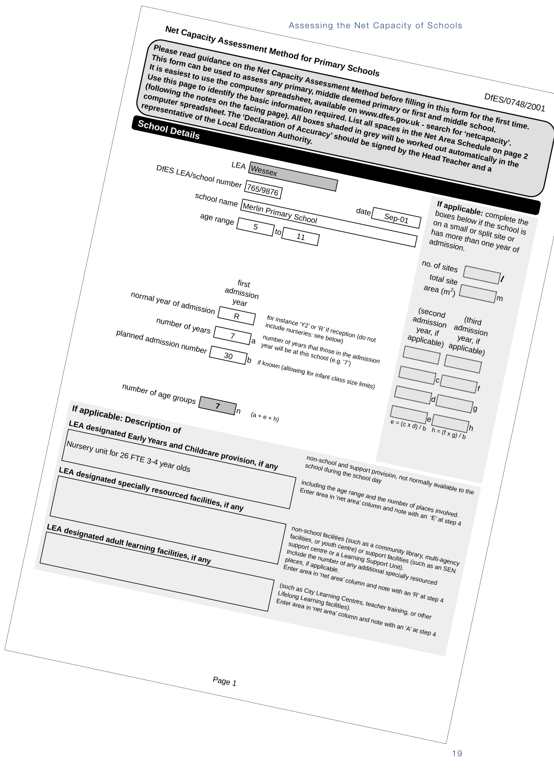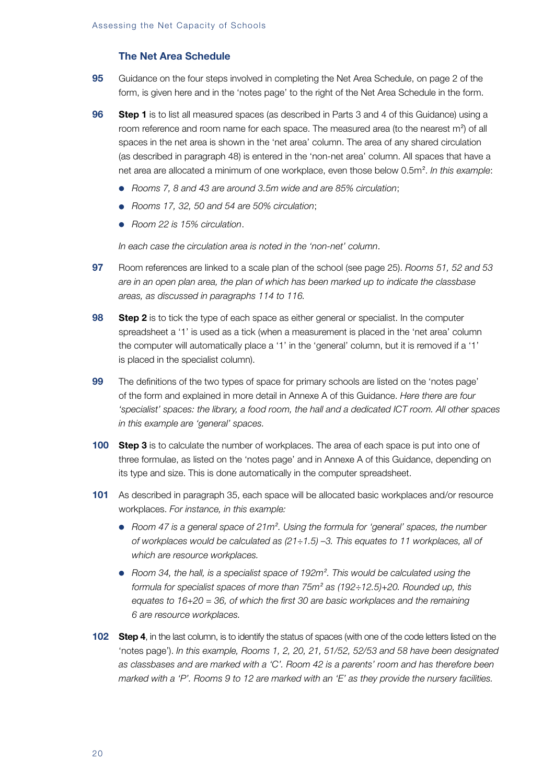# **The Net Area Schedule**

- **95** Guidance on the four steps involved in completing the Net Area Schedule, on page 2 of the form, is given here and in the 'notes page' to the right of the Net Area Schedule in the form.
- **96 Step 1** is to list all measured spaces (as described in Parts 3 and 4 of this Guidance) using a room reference and room name for each space. The measured area (to the nearest m<sup>2</sup>) of all spaces in the net area is shown in the 'net area' column. The area of any shared circulation (as described in paragraph 48) is entered in the 'non-net area' column. All spaces that have a net area are allocated a minimum of one workplace, even those below 0.5m<sup>2</sup> . *In this example*:
	- *Rooms 7, 8 and 43 are around 3.5m wide and are 85% circulation*;
	- *Rooms 17, 32, 50 and 54 are 50% circulation*;
	- *Room 22 is 15% circulation*.

*In each case the circulation area is noted in the 'non-net' column*.

- **97** Room references are linked to a scale plan of the school (see page 25). *Rooms 51, 52 and 53 are in an open plan area, the plan of which has been marked up to indicate the classbase areas, as discussed in paragraphs 114 to 116.*
- **98 Step 2** is to tick the type of each space as either general or specialist. In the computer spreadsheet a '1' is used as a tick (when a measurement is placed in the 'net area' column the computer will automatically place a '1' in the 'general' column, but it is removed if a '1' is placed in the specialist column).
- **99** The definitions of the two types of space for primary schools are listed on the 'notes page' of the form and explained in more detail in Annexe A of this Guidance. *Here there are four 'specialist' spaces: the library, a food room, the hall and a dedicated ICT room. All other spaces in this example are 'general' spaces.*
- **100 Step 3** is to calculate the number of workplaces. The area of each space is put into one of three formulae, as listed on the 'notes page' and in Annexe A of this Guidance, depending on its type and size. This is done automatically in the computer spreadsheet.
- **101** As described in paragraph 35, each space will be allocated basic workplaces and/or resource workplaces. *For instance, in this example:*
	- Room 47 is a general space of 21m<sup>2</sup>. Using the formula for 'general' spaces, the number *of workplaces would be calculated as (21÷1.5) –3. This equates to 11 workplaces, all of which are resource workplaces.*
	- *Room 34, the hall, is a specialist space of 192m<sup>2</sup>. This would be calculated using the formula for specialist spaces of more than 75m<sup>2</sup> as (192÷12.5)+20. Rounded up, this equates to 16+20 = 36, of which the first 30 are basic workplaces and the remaining 6 are resource workplaces.*
- **102 Step 4**, in the last column, is to identify the status of spaces (with one of the code letters listed on the 'notes page'). *In this example, Rooms 1, 2, 20, 21, 51/52, 52/53 and 58 have been designated as classbases and are marked with a 'C'. Room 42 is a parents' room and has therefore been marked with a 'P'. Rooms 9 to 12 are marked with an 'E' as they provide the nursery facilities.*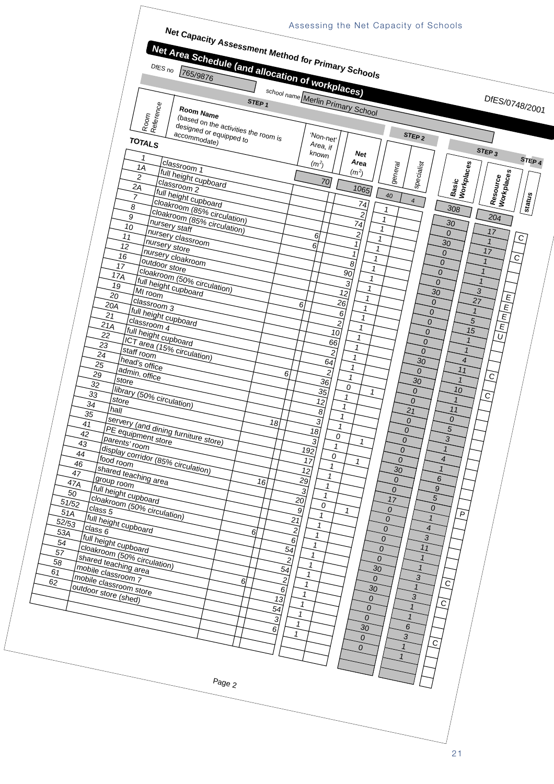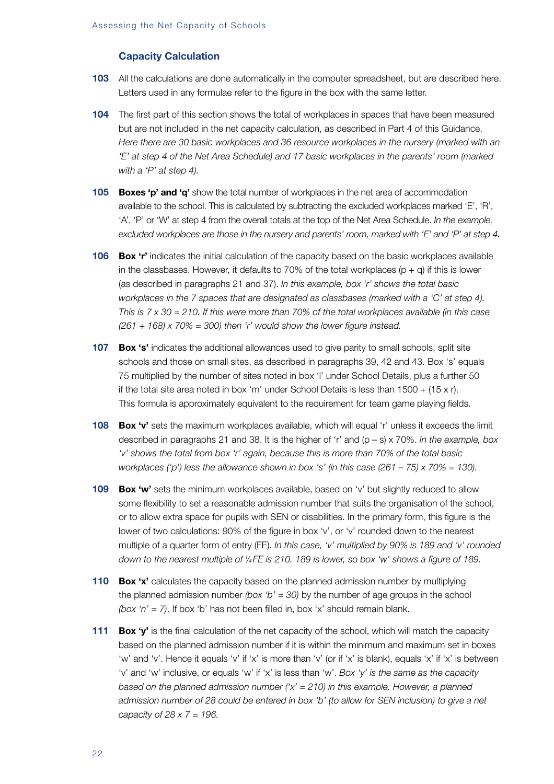# **Capacity Calculation**

- **103** All the calculations are done automatically in the computer spreadsheet, but are described here. Letters used in any formulae refer to the figure in the box with the same letter.
- **104** The first part of this section shows the total of workplaces in spaces that have been measured but are not included in the net capacity calculation, as described in Part 4 of this Guidance. *Here there are 30 basic workplaces and 36 resource workplaces in the nursery (marked with an 'E' at step 4 of the Net Area Schedule) and 17 basic workplaces in the parents' room (marked with a 'P' at step 4).*
- **105 Boxes 'p' and 'q'** show the total number of workplaces in the net area of accommodation available to the school. This is calculated by subtracting the excluded workplaces marked 'E', 'R', 'A', 'P' or 'W' at step 4 from the overall totals at the top of the Net Area Schedule. *In the example, excluded workplaces are those in the nursery and parents' room, marked with 'E' and 'P' at step 4.*
- **106 Box 'r'** indicates the initial calculation of the capacity based on the basic workplaces available in the classbases. However, it defaults to 70% of the total workplaces  $(p + q)$  if this is lower (as described in paragraphs 21 and 37). *In this example, box 'r' shows the total basic workplaces in the 7 spaces that are designated as classbases (marked with a 'C' at step 4). This is 7 x 30 = 210. If this were more than 70% of the total workplaces available (in this case (261 + 168) x 70% = 300) then 'r' would show the lower figure instead.*
- 107 **Box 's'** indicates the additional allowances used to give parity to small schools, split site schools and those on small sites, as described in paragraphs 39, 42 and 43. Box 's' equals 75 multiplied by the number of sites noted in box 'l' under School Details, plus a further 50 if the total site area noted in box 'm' under School Details is less than  $1500 + (15 \times r)$ . This formula is approximately equivalent to the requirement for team game playing fields.
- **108 Box 'v'** sets the maximum workplaces available, which will equal 'r' unless it exceeds the limit described in paragraphs 21 and 38. It is the higher of 'r' and (p – s) x 70%. *In the example, box 'v' shows the total from box 'r' again, because this is more than 70% of the total basic workplaces ('p') less the allowance shown in box 's' (in this case (261 – 75) x 70% = 130).*
- **109 Box 'w'** sets the minimum workplaces available, based on 'v' but slightly reduced to allow some flexibility to set a reasonable admission number that suits the organisation of the school, or to allow extra space for pupils with SEN or disabilities. In the primary form, this figure is the lower of two calculations: 90% of the figure in box 'v', or 'v' rounded down to the nearest multiple of a quarter form of entry (FE). *In this case, 'v' multiplied by 90% is 189 and 'v' rounded down to the nearest multiple of <sup>1</sup> ⁄<sup>4</sup> FE is 210. 189 is lower, so box 'w' shows a figure of 189.*
- **110 Box 'x'** calculates the capacity based on the planned admission number by multiplying the planned admission number *(box 'b' = 30)* by the number of age groups in the school *(box 'n' = 7)*. If box 'b' has not been filled in, box 'x' should remain blank.
- **111 Box 'y'** is the final calculation of the net capacity of the school, which will match the capacity based on the planned admission number if it is within the minimum and maximum set in boxes 'w' and 'v'. Hence it equals 'v' if 'x' is more than 'v' (or if 'x' is blank), equals 'x' if 'x' is between 'v' and 'w' inclusive, or equals 'w' if 'x' is less than 'w'. *Box 'y' is the same as the capacity based on the planned admission number ('x' = 210) in this example. However, a planned admission number of 28 could be entered in box 'b' (to allow for SEN inclusion) to give a net capacity of 28 x 7 = 196.*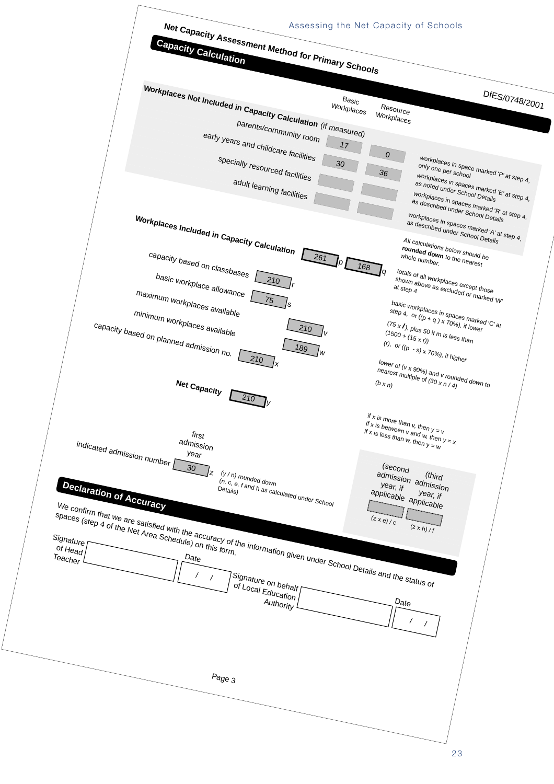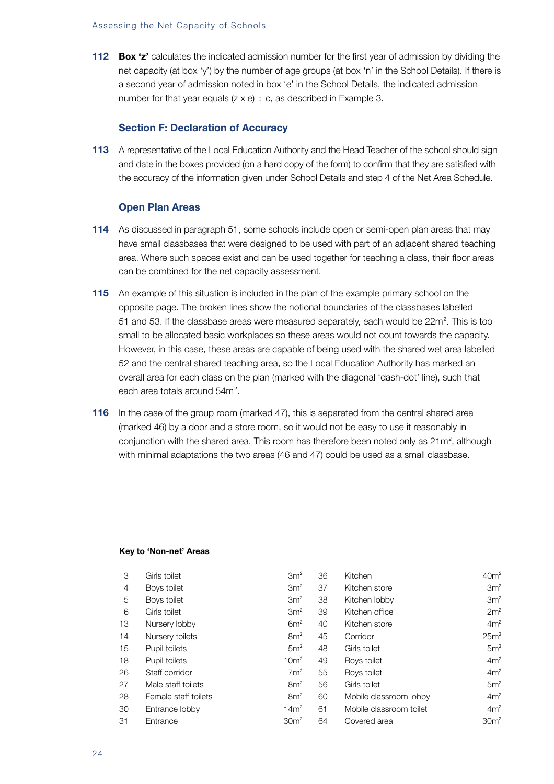#### Assessing the Net Capacity of Schools

**112 Box 'z'** calculates the indicated admission number for the first year of admission by dividing the net capacity (at box 'y') by the number of age groups (at box 'n' in the School Details). If there is a second year of admission noted in box 'e' in the School Details, the indicated admission number for that year equals  $(z \times e) \div c$ , as described in Example 3.

#### **Section F: Declaration of Accuracy**

**113** A representative of the Local Education Authority and the Head Teacher of the school should sign and date in the boxes provided (on a hard copy of the form) to confirm that they are satisfied with the accuracy of the information given under School Details and step 4 of the Net Area Schedule.

#### **Open Plan Areas**

- **114** As discussed in paragraph 51, some schools include open or semi-open plan areas that may have small classbases that were designed to be used with part of an adjacent shared teaching area. Where such spaces exist and can be used together for teaching a class, their floor areas can be combined for the net capacity assessment.
- **115** An example of this situation is included in the plan of the example primary school on the opposite page. The broken lines show the notional boundaries of the classbases labelled 51 and 53. If the classbase areas were measured separately, each would be  $22m^2$ . This is too small to be allocated basic workplaces so these areas would not count towards the capacity. However, in this case, these areas are capable of being used with the shared wet area labelled 52 and the central shared teaching area, so the Local Education Authority has marked an overall area for each class on the plan (marked with the diagonal 'dash-dot' line), such that each area totals around 54m<sup>2</sup>.
- **116** In the case of the group room (marked 47), this is separated from the central shared area (marked 46) by a door and a store room, so it would not be easy to use it reasonably in conjunction with the shared area. This room has therefore been noted only as  $21m^2$ , although with minimal adaptations the two areas (46 and 47) could be used as a small classbase.

#### **Key to 'Non-net' Areas**

| З  | Girls toilet         | 3m <sup>2</sup>  | 36 | <b>Kitchen</b>          | 40 <sup>m²</sup> |
|----|----------------------|------------------|----|-------------------------|------------------|
| 4  | Boys toilet          | 3m <sup>2</sup>  | 37 | Kitchen store           | 3m <sup>2</sup>  |
| 5  | Boys toilet          | 3m <sup>2</sup>  | 38 | Kitchen lobby           | 3m <sup>2</sup>  |
| 6  | Girls toilet         | 3m <sup>2</sup>  | 39 | Kitchen office          | 2m <sup>2</sup>  |
| 13 | Nursery lobby        | 6m <sup>2</sup>  | 40 | Kitchen store           | 4m <sup>2</sup>  |
| 14 | Nursery toilets      | 8m <sup>2</sup>  | 45 | Corridor                | 25m <sup>2</sup> |
| 15 | Pupil toilets        | 5m <sup>2</sup>  | 48 | Girls toilet            | 5m <sup>2</sup>  |
| 18 | Pupil toilets        | 10 <sup>m²</sup> | 49 | Boys toilet             | 4m <sup>2</sup>  |
| 26 | Staff corridor       | 7m <sup>2</sup>  | 55 | Boys toilet             | 4m <sup>2</sup>  |
| 27 | Male staff toilets   | 8m <sup>2</sup>  | 56 | Girls toilet            | 5m <sup>2</sup>  |
| 28 | Female staff toilets | 8m <sup>2</sup>  | 60 | Mobile classroom lobby  | 4m <sup>2</sup>  |
| 30 | Entrance lobby       | 14m <sup>2</sup> | 61 | Mobile classroom toilet | 4m <sup>2</sup>  |
| 31 | Entrance             | 30 <sup>m²</sup> | 64 | Covered area            | 30 <sup>m²</sup> |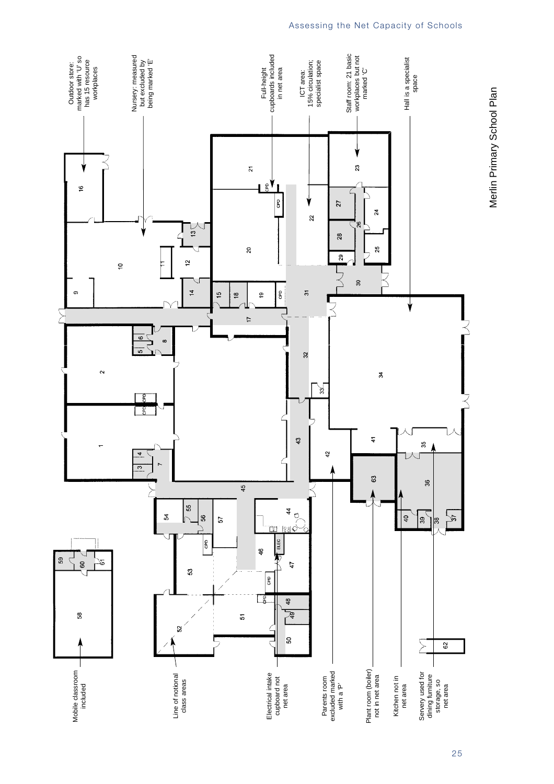

## Assessing the Net Capacity of Schools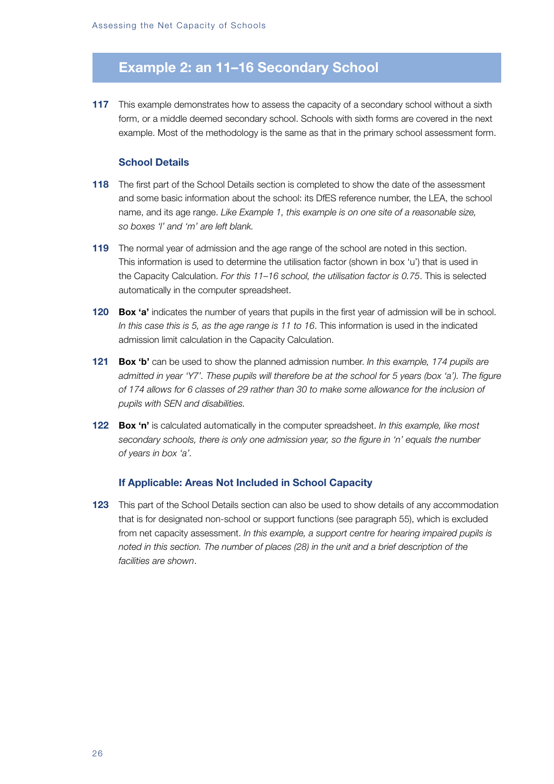# **Example 2: an 11–16 Secondary School**

**117** This example demonstrates how to assess the capacity of a secondary school without a sixth form, or a middle deemed secondary school. Schools with sixth forms are covered in the next example. Most of the methodology is the same as that in the primary school assessment form.

## **School Details**

- **118** The first part of the School Details section is completed to show the date of the assessment and some basic information about the school: its DfES reference number, the LEA, the school name, and its age range. *Like Example 1, this example is on one site of a reasonable size, so boxes 'l' and 'm' are left blank.*
- **119** The normal year of admission and the age range of the school are noted in this section. This information is used to determine the utilisation factor (shown in box 'u') that is used in the Capacity Calculation. *For this 11–16 school, the utilisation factor is 0.75*. This is selected automatically in the computer spreadsheet.
- **120 Box 'a'** indicates the number of years that pupils in the first year of admission will be in school. *In this case this is 5, as the age range is 11 to 16*. This information is used in the indicated admission limit calculation in the Capacity Calculation.
- **121 Box 'b'** can be used to show the planned admission number. *In this example, 174 pupils are admitted in year 'Y7'. These pupils will therefore be at the school for 5 years (box 'a'). The figure of 174 allows for 6 classes of 29 rather than 30 to make some allowance for the inclusion of pupils with SEN and disabilities.*
- **122 Box 'n'** is calculated automatically in the computer spreadsheet. *In this example, like most secondary schools, there is only one admission year, so the figure in 'n' equals the number of years in box 'a'.*

#### **If Applicable: Areas Not Included in School Capacity**

**123** This part of the School Details section can also be used to show details of any accommodation that is for designated non-school or support functions (see paragraph 55), which is excluded from net capacity assessment. *In this example, a support centre for hearing impaired pupils is noted in this section. The number of places (28) in the unit and a brief description of the facilities are shown*.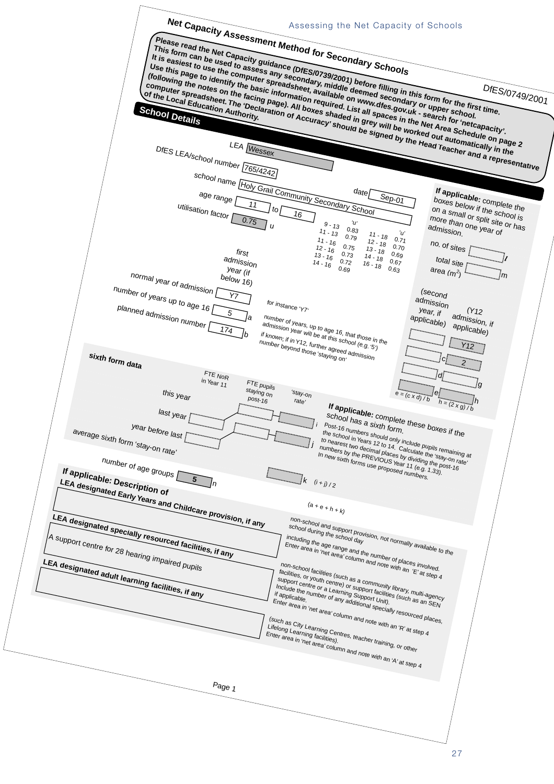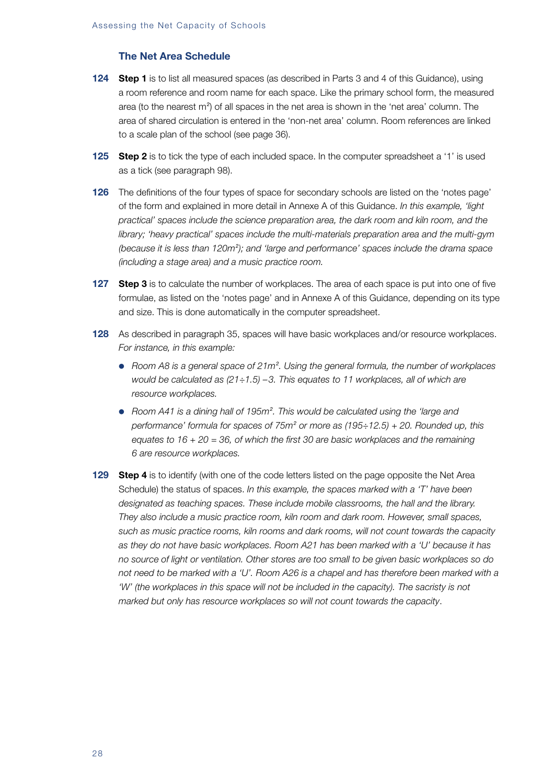# **The Net Area Schedule**

- **124 Step 1** is to list all measured spaces (as described in Parts 3 and 4 of this Guidance), using a room reference and room name for each space. Like the primary school form, the measured area (to the nearest m<sup>2</sup>) of all spaces in the net area is shown in the 'net area' column. The area of shared circulation is entered in the 'non-net area' column. Room references are linked to a scale plan of the school (see page 36).
- **125 Step 2** is to tick the type of each included space. In the computer spreadsheet a '1' is used as a tick (see paragraph 98).
- **126** The definitions of the four types of space for secondary schools are listed on the 'notes page' of the form and explained in more detail in Annexe A of this Guidance. *In this example, 'light practical' spaces include the science preparation area, the dark room and kiln room, and the library; 'heavy practical' spaces include the multi-materials preparation area and the multi-gym (because it is less than 120m<sup>2</sup> ); and 'large and performance' spaces include the drama space (including a stage area) and a music practice room.*
- **127 Step 3** is to calculate the number of workplaces. The area of each space is put into one of five formulae, as listed on the 'notes page' and in Annexe A of this Guidance, depending on its type and size. This is done automatically in the computer spreadsheet.
- **128** As described in paragraph 35, spaces will have basic workplaces and/or resource workplaces. *For instance, in this example:*
	- Room A8 is a general space of 21m<sup>2</sup>. Using the general formula, the number of workplaces *would be calculated as (21÷1.5) –3. This equates to 11 workplaces, all of which are resource workplaces.*
	- Room A41 is a dining hall of 195m<sup>2</sup>. This would be calculated using the 'large and *performance' formula for spaces of 75m<sup>2</sup> or more as (195÷12.5) + 20. Rounded up, this equates to 16 + 20 = 36, of which the first 30 are basic workplaces and the remaining 6 are resource workplaces.*
- **129 Step 4** is to identify (with one of the code letters listed on the page opposite the Net Area Schedule) the status of spaces. *In this example, the spaces marked with a 'T' have been designated as teaching spaces. These include mobile classrooms, the hall and the library. They also include a music practice room, kiln room and dark room. However, small spaces, such as music practice rooms, kiln rooms and dark rooms, will not count towards the capacity as they do not have basic workplaces. Room A21 has been marked with a 'U' because it has no source of light or ventilation. Other stores are too small to be given basic workplaces so do not need to be marked with a 'U'. Room A26 is a chapel and has therefore been marked with a 'W' (the workplaces in this space will not be included in the capacity). The sacristy is not marked but only has resource workplaces so will not count towards the capacity*.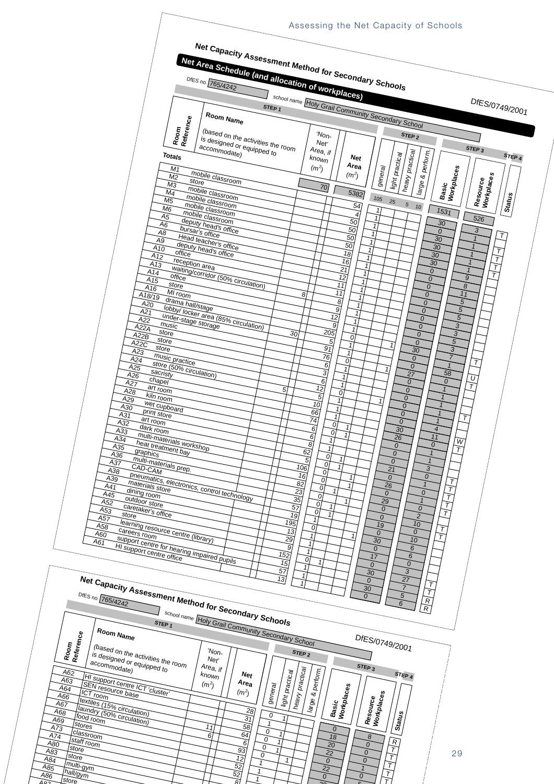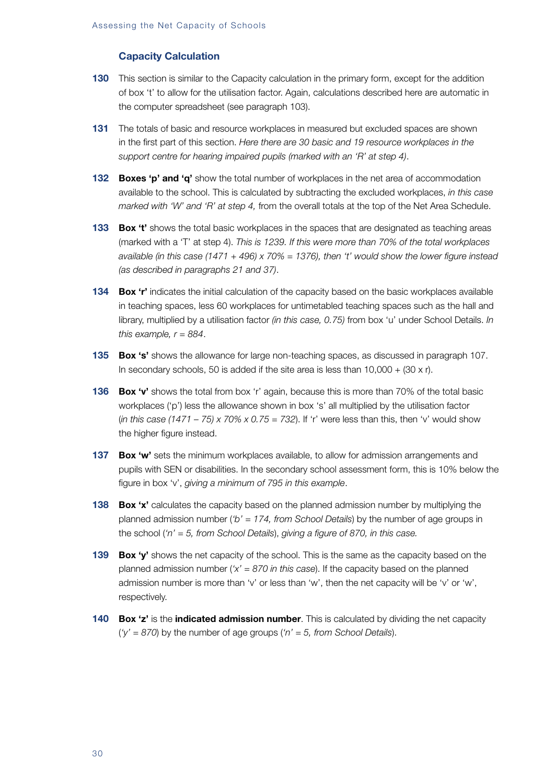# **Capacity Calculation**

- **130** This section is similar to the Capacity calculation in the primary form, except for the addition of box 't' to allow for the utilisation factor. Again, calculations described here are automatic in the computer spreadsheet (see paragraph 103).
- **131** The totals of basic and resource workplaces in measured but excluded spaces are shown in the first part of this section. *Here there are 30 basic and 19 resource workplaces in the support centre for hearing impaired pupils (marked with an 'R' at step 4)*.
- **132 Boxes 'p' and 'q'** show the total number of workplaces in the net area of accommodation available to the school. This is calculated by subtracting the excluded workplaces, *in this case marked with 'W' and 'R' at step 4,* from the overall totals at the top of the Net Area Schedule.
- **133 Box 't'** shows the total basic workplaces in the spaces that are designated as teaching areas (marked with a 'T' at step 4). *This is 1239. If this were more than 70% of the total workplaces available (in this case (1471 + 496) x 70% = 1376), then 't' would show the lower figure instead (as described in paragraphs 21 and 37)*.
- **134 Box 'r'** indicates the initial calculation of the capacity based on the basic workplaces available in teaching spaces, less 60 workplaces for untimetabled teaching spaces such as the hall and library, multiplied by a utilisation factor *(in this case, 0.75)* from box 'u' under School Details. *In this example, r = 884*.
- **135 Box 's'** shows the allowance for large non-teaching spaces, as discussed in paragraph 107. In secondary schools, 50 is added if the site area is less than  $10,000 + (30 \times r)$ .
- **136 Box 'v'** shows the total from box 'r' again, because this is more than 70% of the total basic workplaces ('p') less the allowance shown in box 's' all multiplied by the utilisation factor (*in this case (1471 – 75) x 70% x 0.75 = 732*). If 'r' were less than this, then 'v' would show the higher figure instead.
- **137 Box 'w'** sets the minimum workplaces available, to allow for admission arrangements and pupils with SEN or disabilities. In the secondary school assessment form, this is 10% below the figure in box 'v', *giving a minimum of 795 in this example*.
- **138 Box 'x'** calculates the capacity based on the planned admission number by multiplying the planned admission number (*'b' = 174, from School Details*) by the number of age groups in the school (*'n' = 5, from School Details*), *giving a figure of 870, in this case.*
- **139 Box 'y'** shows the net capacity of the school. This is the same as the capacity based on the planned admission number (*'x' = 870 in this case*). If the capacity based on the planned admission number is more than 'v' or less than 'w', then the net capacity will be 'v' or 'w', respectively.
- **140 Box 'z'** is the **indicated admission number**. This is calculated by dividing the net capacity (*'y' = 870*) by the number of age groups (*'n' = 5, from School Details*).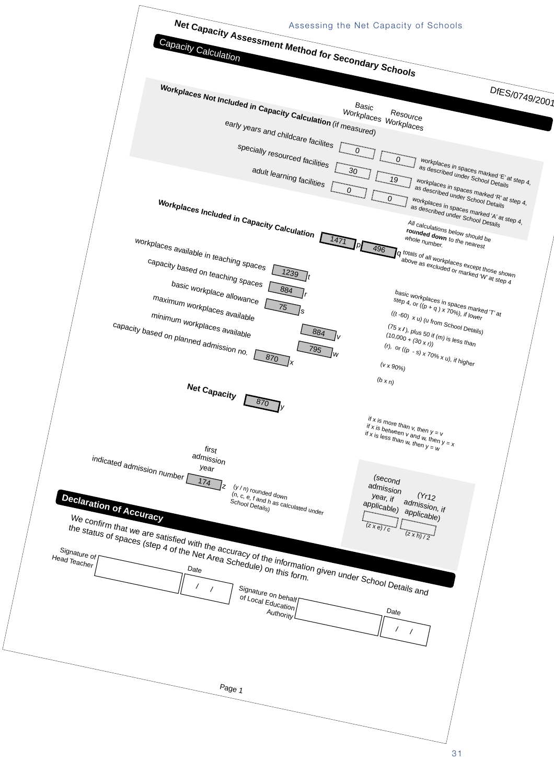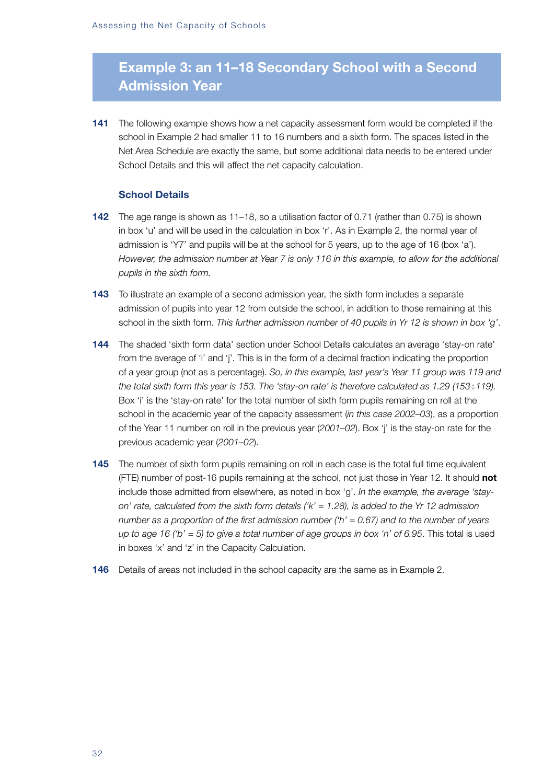# **Example 3: an 11–18 Secondary School with a Second Admission Year**

**141** The following example shows how a net capacity assessment form would be completed if the school in Example 2 had smaller 11 to 16 numbers and a sixth form. The spaces listed in the Net Area Schedule are exactly the same, but some additional data needs to be entered under School Details and this will affect the net capacity calculation.

# **School Details**

- **142** The age range is shown as 11–18, so a utilisation factor of 0.71 (rather than 0.75) is shown in box 'u' and will be used in the calculation in box 'r'. As in Example 2, the normal year of admission is 'Y7' and pupils will be at the school for 5 years, up to the age of 16 (box 'a'). *However, the admission number at Year 7 is only 116 in this example, to allow for the additional pupils in the sixth form.*
- **143** To illustrate an example of a second admission year, the sixth form includes a separate admission of pupils into year 12 from outside the school, in addition to those remaining at this school in the sixth form. *This further admission number of 40 pupils in Yr 12 is shown in box 'g'*.
- **144** The shaded 'sixth form data' section under School Details calculates an average 'stay-on rate' from the average of 'i' and 'j'. This is in the form of a decimal fraction indicating the proportion of a year group (not as a percentage). *So, in this example, last year's Year 11 group was 119 and the total sixth form this year is 153. The 'stay-on rate' is therefore calculated as 1.29 (153÷119).* Box 'i' is the 'stay-on rate' for the total number of sixth form pupils remaining on roll at the school in the academic year of the capacity assessment (*in this case 2002–03*), as a proportion of the Year 11 number on roll in the previous year (*2001–02*). Box 'j' is the stay-on rate for the previous academic year (*2001–02*).
- **145** The number of sixth form pupils remaining on roll in each case is the total full time equivalent (FTE) number of post-16 pupils remaining at the school, not just those in Year 12. It should **not** include those admitted from elsewhere, as noted in box 'g'. *In the example, the average 'stayon' rate, calculated from the sixth form details ('k' = 1.28), is added to the Yr 12 admission number as a proportion of the first admission number ('h' = 0.67) and to the number of years up to age 16 ('b' = 5) to give a total number of age groups in box 'n' of 6.95*. This total is used in boxes 'x' and 'z' in the Capacity Calculation.
- **146** Details of areas not included in the school capacity are the same as in Example 2.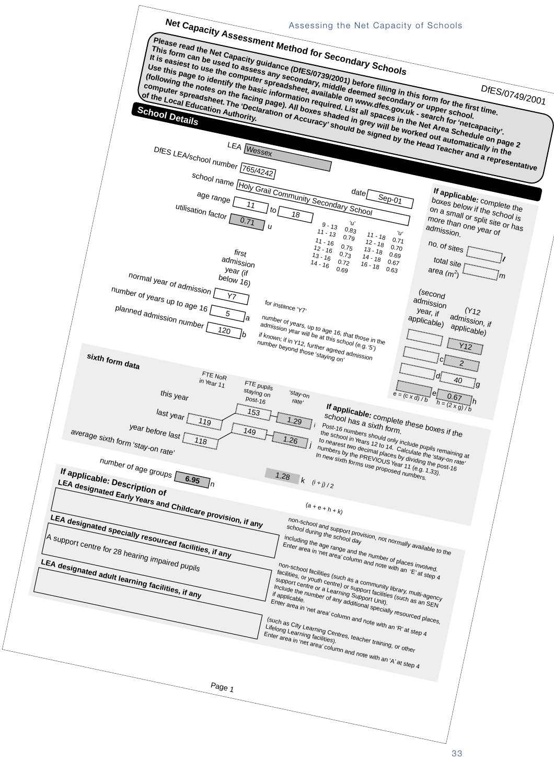![](_page_34_Figure_0.jpeg)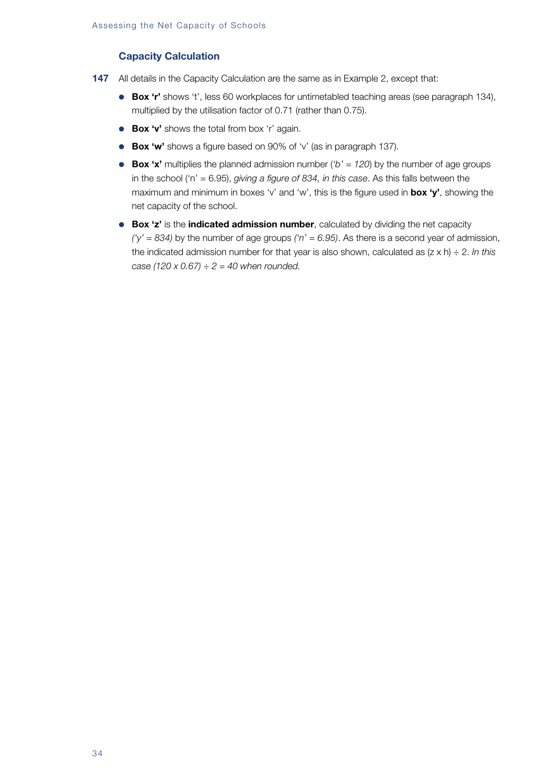# **Capacity Calculation**

- **147** All details in the Capacity Calculation are the same as in Example 2, except that:
	- **Box 'r'** shows 't', less 60 workplaces for untimetabled teaching areas (see paragraph 134), multiplied by the utilisation factor of 0.71 (rather than 0.75).
	- **Box 'v'** shows the total from box 'r' again.
	- **Box 'w'** shows a figure based on 90% of 'v' (as in paragraph 137).
	- **Box 'x'** multiplies the planned admission number (*'b' = 120*) by the number of age groups in the school ('n' = 6.95), *giving a figure of 834, in this case*. As this falls between the maximum and minimum in boxes 'v' and 'w', this is the figure used in **box 'y'**, showing the net capacity of the school.
	- **Box 'z'** is the **indicated admission number**, calculated by dividing the net capacity *('y' = 834)* by the number of age groups *('n' = 6.95)*. As there is a second year of admission, the indicated admission number for that year is also shown, calculated as (z x h) ÷ 2. *In this case (120 x 0.67) ÷ 2 = 40 when rounded.*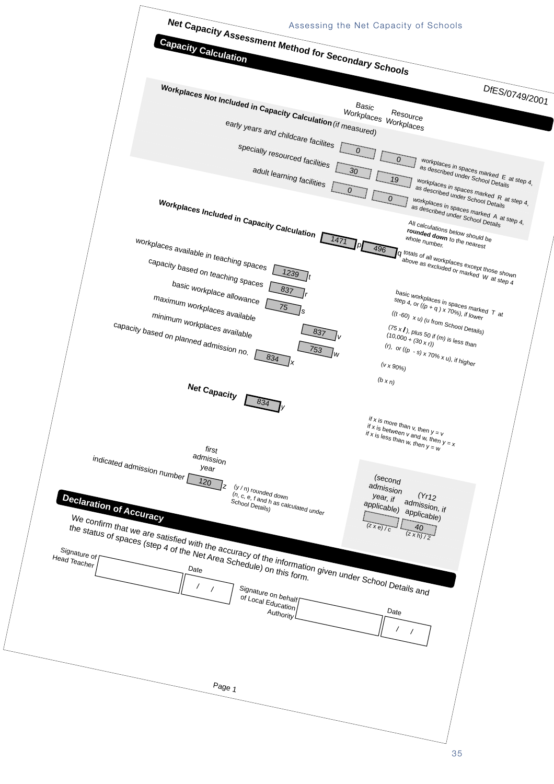![](_page_36_Figure_0.jpeg)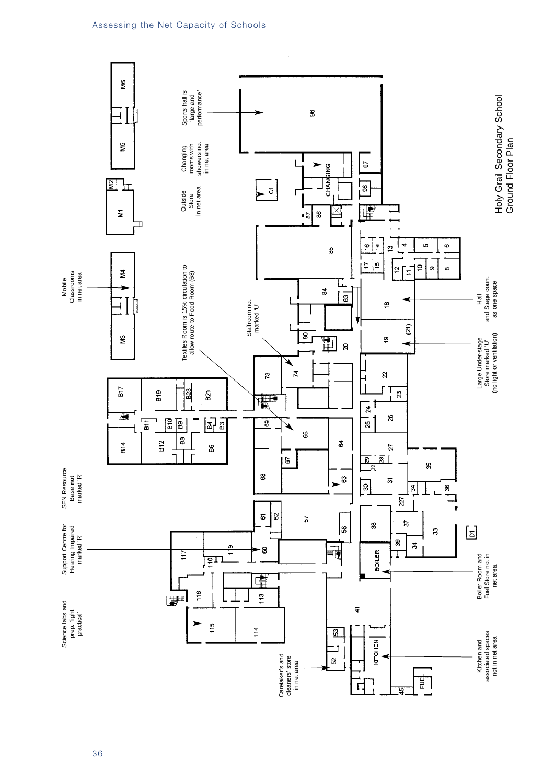![](_page_37_Figure_1.jpeg)

36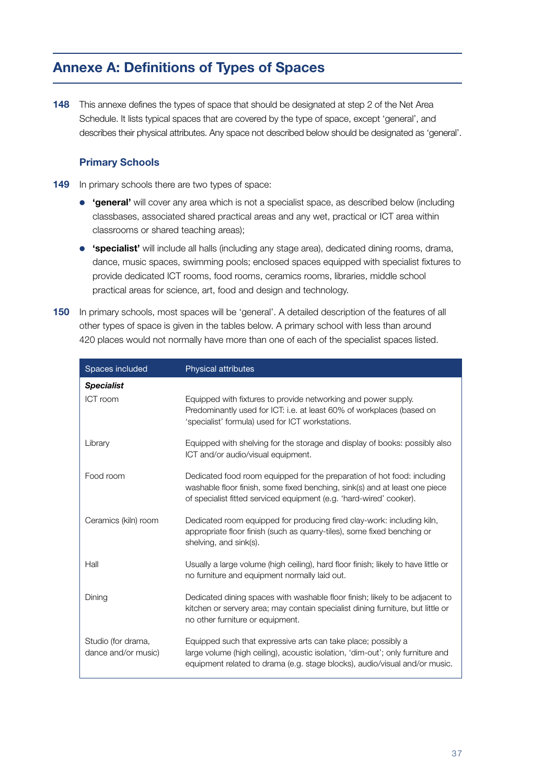# **Annexe A: Definitions of Types of Spaces**

**148** This annexe defines the types of space that should be designated at step 2 of the Net Area Schedule. It lists typical spaces that are covered by the type of space, except 'general', and describes their physical attributes. Any space not described below should be designated as 'general'.

# **Primary Schools**

- **149** In primary schools there are two types of space:
	- **'general'** will cover any area which is not a specialist space, as described below (including classbases, associated shared practical areas and any wet, practical or ICT area within classrooms or shared teaching areas);
	- **'specialist'** will include all halls (including any stage area), dedicated dining rooms, drama, dance, music spaces, swimming pools; enclosed spaces equipped with specialist fixtures to provide dedicated ICT rooms, food rooms, ceramics rooms, libraries, middle school practical areas for science, art, food and design and technology.
- **150** In primary schools, most spaces will be 'general'. A detailed description of the features of all other types of space is given in the tables below. A primary school with less than around 420 places would not normally have more than one of each of the specialist spaces listed.

| Spaces included                           | <b>Physical attributes</b>                                                                                                                                                                                                    |
|-------------------------------------------|-------------------------------------------------------------------------------------------------------------------------------------------------------------------------------------------------------------------------------|
| <b>Specialist</b>                         |                                                                                                                                                                                                                               |
| ICT room                                  | Equipped with fixtures to provide networking and power supply.<br>Predominantly used for ICT: i.e. at least 60% of workplaces (based on<br>'specialist' formula) used for ICT workstations.                                   |
| Library                                   | Equipped with shelving for the storage and display of books: possibly also<br>ICT and/or audio/visual equipment.                                                                                                              |
| Food room                                 | Dedicated food room equipped for the preparation of hot food: including<br>washable floor finish, some fixed benching, sink(s) and at least one piece<br>of specialist fitted serviced equipment (e.g. 'hard-wired' cooker).  |
| Ceramics (kiln) room                      | Dedicated room equipped for producing fired clay-work: including kiln,<br>appropriate floor finish (such as quarry-tiles), some fixed benching or<br>shelving, and sink(s).                                                   |
| Hall                                      | Usually a large volume (high ceiling), hard floor finish; likely to have little or<br>no furniture and equipment normally laid out.                                                                                           |
| Dining                                    | Dedicated dining spaces with washable floor finish; likely to be adjacent to<br>kitchen or servery area; may contain specialist dining furniture, but little or<br>no other furniture or equipment.                           |
| Studio (for drama,<br>dance and/or music) | Equipped such that expressive arts can take place; possibly a<br>large volume (high ceiling), acoustic isolation, 'dim-out'; only furniture and<br>equipment related to drama (e.g. stage blocks), audio/visual and/or music. |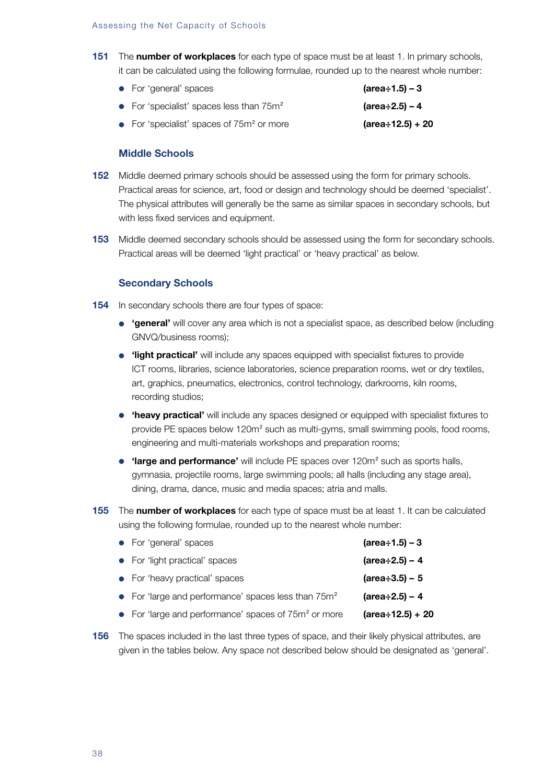**151** The **number of workplaces** for each type of space must be at least 1. In primary schools, it can be calculated using the following formulae, rounded up to the nearest whole number:

| • For 'general' spaces                      | $(\text{area} \div 1.5) - 3$ |
|---------------------------------------------|------------------------------|
| • For 'specialist' spaces less than $75m^2$ | $(area \div 2.5) - 4$        |
| • For 'specialist' spaces of $75m2$ or more | $(\text{area}: 12.5) + 20$   |

## **Middle Schools**

- **152** Middle deemed primary schools should be assessed using the form for primary schools. Practical areas for science, art, food or design and technology should be deemed 'specialist'. The physical attributes will generally be the same as similar spaces in secondary schools, but with less fixed services and equipment.
- **153** Middle deemed secondary schools should be assessed using the form for secondary schools. Practical areas will be deemed 'light practical' or 'heavy practical' as below.

# **Secondary Schools**

- **154** In secondary schools there are four types of space:
	- **'general'** will cover any area which is not a specialist space, as described below (including GNVQ/business rooms);
	- **'light practical'** will include any spaces equipped with specialist fixtures to provide ICT rooms, libraries, science laboratories, science preparation rooms, wet or dry textiles, art, graphics, pneumatics, electronics, control technology, darkrooms, kiln rooms, recording studios;
	- **'heavy practical'** will include any spaces designed or equipped with specialist fixtures to provide PE spaces below 120m<sup>2</sup> such as multi-gyms, small swimming pools, food rooms, engineering and multi-materials workshops and preparation rooms;
	- **'large and performance'** will include PE spaces over 120m<sup>2</sup> such as sports halls, gymnasia, projectile rooms, large swimming pools; all halls (including any stage area), dining, drama, dance, music and media spaces; atria and malls.
- **155** The **number of workplaces** for each type of space must be at least 1. It can be calculated using the following formulae, rounded up to the nearest whole number:

| • For 'general' spaces                                           | $(\text{area} \div 1.5) - 3$ |
|------------------------------------------------------------------|------------------------------|
| • For 'light practical' spaces                                   | $(\text{area} \div 2.5) - 4$ |
| • For 'heavy practical' spaces                                   | $(\text{area} \div 3.5) - 5$ |
| • For 'large and performance' spaces less than $75m^2$           | $(\text{area} \div 2.5) - 4$ |
| • For 'large and performance' spaces of 75m <sup>2</sup> or more | $(\text{area}: 12.5) + 20$   |
|                                                                  |                              |

**156** The spaces included in the last three types of space, and their likely physical attributes, are given in the tables below. Any space not described below should be designated as 'general'.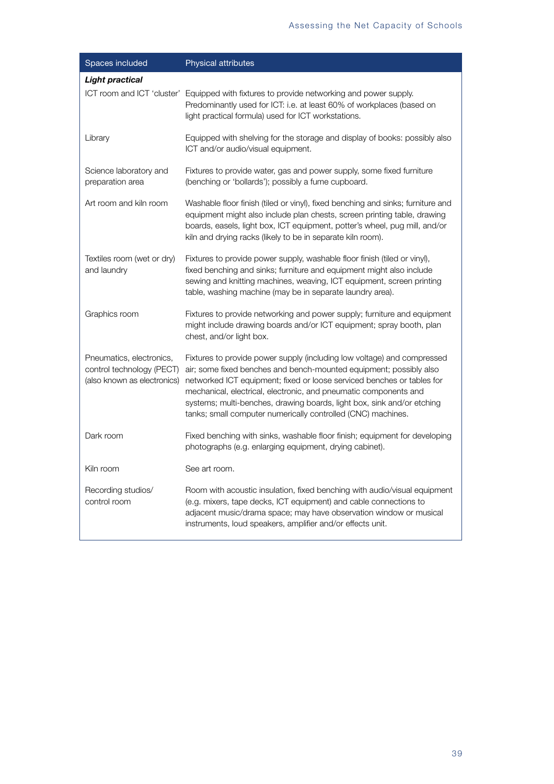| Spaces included                                                                      | Physical attributes                                                                                                                                                                                                                                                                                                                                                                                                                   |
|--------------------------------------------------------------------------------------|---------------------------------------------------------------------------------------------------------------------------------------------------------------------------------------------------------------------------------------------------------------------------------------------------------------------------------------------------------------------------------------------------------------------------------------|
| <b>Light practical</b>                                                               |                                                                                                                                                                                                                                                                                                                                                                                                                                       |
|                                                                                      | ICT room and ICT 'cluster' Equipped with fixtures to provide networking and power supply.<br>Predominantly used for ICT: i.e. at least 60% of workplaces (based on<br>light practical formula) used for ICT workstations.                                                                                                                                                                                                             |
| Library                                                                              | Equipped with shelving for the storage and display of books: possibly also<br>ICT and/or audio/visual equipment.                                                                                                                                                                                                                                                                                                                      |
| Science laboratory and<br>preparation area                                           | Fixtures to provide water, gas and power supply, some fixed furniture<br>(benching or 'bollards'); possibly a fume cupboard.                                                                                                                                                                                                                                                                                                          |
| Art room and kiln room                                                               | Washable floor finish (tiled or vinyl), fixed benching and sinks; furniture and<br>equipment might also include plan chests, screen printing table, drawing<br>boards, easels, light box, ICT equipment, potter's wheel, pug mill, and/or<br>kiln and drying racks (likely to be in separate kiln room).                                                                                                                              |
| Textiles room (wet or dry)<br>and laundry                                            | Fixtures to provide power supply, washable floor finish (tiled or vinyl),<br>fixed benching and sinks; furniture and equipment might also include<br>sewing and knitting machines, weaving, ICT equipment, screen printing<br>table, washing machine (may be in separate laundry area).                                                                                                                                               |
| Graphics room                                                                        | Fixtures to provide networking and power supply; furniture and equipment<br>might include drawing boards and/or ICT equipment; spray booth, plan<br>chest, and/or light box.                                                                                                                                                                                                                                                          |
| Pneumatics, electronics,<br>control technology (PECT)<br>(also known as electronics) | Fixtures to provide power supply (including low voltage) and compressed<br>air; some fixed benches and bench-mounted equipment; possibly also<br>networked ICT equipment; fixed or loose serviced benches or tables for<br>mechanical, electrical, electronic, and pneumatic components and<br>systems; multi-benches, drawing boards, light box, sink and/or etching<br>tanks; small computer numerically controlled (CNC) machines. |
| Dark room                                                                            | Fixed benching with sinks, washable floor finish; equipment for developing<br>photographs (e.g. enlarging equipment, drying cabinet).                                                                                                                                                                                                                                                                                                 |
| Kiln room                                                                            | See art room.                                                                                                                                                                                                                                                                                                                                                                                                                         |
| Recording studios/<br>control room                                                   | Room with acoustic insulation, fixed benching with audio/visual equipment<br>(e.g. mixers, tape decks, ICT equipment) and cable connections to<br>adjacent music/drama space; may have observation window or musical<br>instruments, loud speakers, amplifier and/or effects unit.                                                                                                                                                    |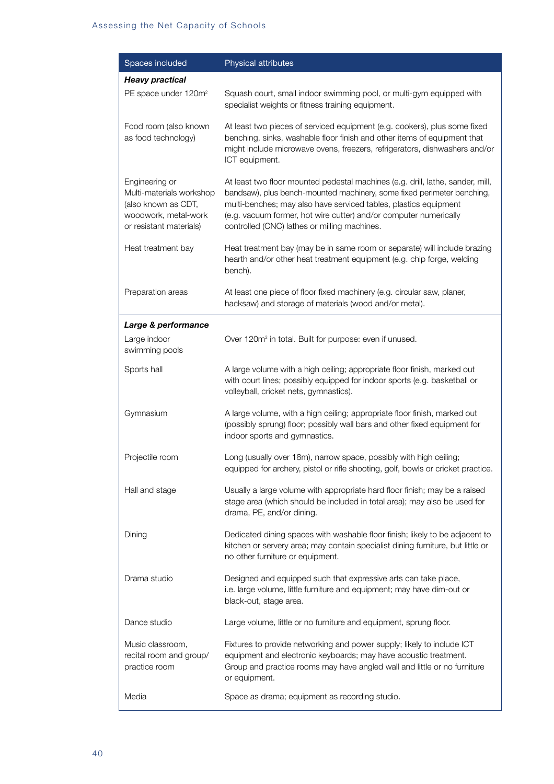| Spaces included                                                                                                      | Physical attributes                                                                                                                                                                                                                                                                                                                               |
|----------------------------------------------------------------------------------------------------------------------|---------------------------------------------------------------------------------------------------------------------------------------------------------------------------------------------------------------------------------------------------------------------------------------------------------------------------------------------------|
| <b>Heavy practical</b>                                                                                               |                                                                                                                                                                                                                                                                                                                                                   |
| PE space under 120m <sup>2</sup>                                                                                     | Squash court, small indoor swimming pool, or multi-gym equipped with<br>specialist weights or fitness training equipment.                                                                                                                                                                                                                         |
| Food room (also known<br>as food technology)                                                                         | At least two pieces of serviced equipment (e.g. cookers), plus some fixed<br>benching, sinks, washable floor finish and other items of equipment that<br>might include microwave ovens, freezers, refrigerators, dishwashers and/or<br>ICT equipment.                                                                                             |
| Engineering or<br>Multi-materials workshop<br>(also known as CDT,<br>woodwork, metal-work<br>or resistant materials) | At least two floor mounted pedestal machines (e.g. drill, lathe, sander, mill,<br>bandsaw), plus bench-mounted machinery, some fixed perimeter benching,<br>multi-benches; may also have serviced tables, plastics equipment<br>(e.g. vacuum former, hot wire cutter) and/or computer numerically<br>controlled (CNC) lathes or milling machines. |
| Heat treatment bay                                                                                                   | Heat treatment bay (may be in same room or separate) will include brazing<br>hearth and/or other heat treatment equipment (e.g. chip forge, welding<br>bench).                                                                                                                                                                                    |
| Preparation areas                                                                                                    | At least one piece of floor fixed machinery (e.g. circular saw, planer,<br>hacksaw) and storage of materials (wood and/or metal).                                                                                                                                                                                                                 |
| Large & performance                                                                                                  |                                                                                                                                                                                                                                                                                                                                                   |
| Large indoor<br>swimming pools                                                                                       | Over 120m <sup>2</sup> in total. Built for purpose: even if unused.                                                                                                                                                                                                                                                                               |
| Sports hall                                                                                                          | A large volume with a high ceiling; appropriate floor finish, marked out<br>with court lines; possibly equipped for indoor sports (e.g. basketball or<br>volleyball, cricket nets, gymnastics).                                                                                                                                                   |
| Gymnasium                                                                                                            | A large volume, with a high ceiling; appropriate floor finish, marked out<br>(possibly sprung) floor; possibly wall bars and other fixed equipment for<br>indoor sports and gymnastics.                                                                                                                                                           |
| Projectile room                                                                                                      | Long (usually over 18m), narrow space, possibly with high ceiling;<br>equipped for archery, pistol or rifle shooting, golf, bowls or cricket practice.                                                                                                                                                                                            |
| Hall and stage                                                                                                       | Usually a large volume with appropriate hard floor finish; may be a raised<br>stage area (which should be included in total area); may also be used for<br>drama, PE, and/or dining.                                                                                                                                                              |
| Dining                                                                                                               | Dedicated dining spaces with washable floor finish; likely to be adjacent to<br>kitchen or servery area; may contain specialist dining furniture, but little or<br>no other furniture or equipment.                                                                                                                                               |
| Drama studio                                                                                                         | Designed and equipped such that expressive arts can take place,<br>i.e. large volume, little furniture and equipment; may have dim-out or<br>black-out, stage area.                                                                                                                                                                               |
| Dance studio                                                                                                         | Large volume, little or no furniture and equipment, sprung floor.                                                                                                                                                                                                                                                                                 |
| Music classroom,<br>recital room and group/<br>practice room                                                         | Fixtures to provide networking and power supply; likely to include ICT<br>equipment and electronic keyboards; may have acoustic treatment.<br>Group and practice rooms may have angled wall and little or no furniture<br>or equipment.                                                                                                           |
| Media                                                                                                                | Space as drama; equipment as recording studio.                                                                                                                                                                                                                                                                                                    |